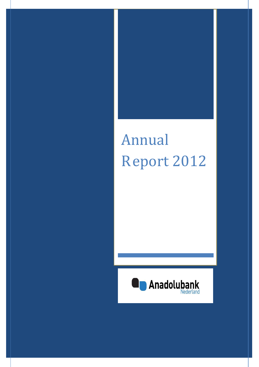# Annual Report 2012

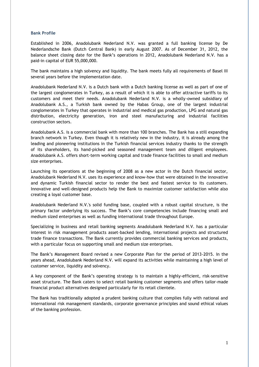#### **Bank Profile**

Established in 2006, Anadolubank Nederland N.V. was granted a full banking license by De Nederlandsche Bank (Dutch Central Bank) in early August 2007. As of December 31, 2012, the balance sheet closing date for the Bank's operations in 2012, Anadolubank Nederland N.V. has a paid-in capital of EUR 55,000,000.

The bank maintains a high solvency and liquidity. The bank meets fully all requirements of Basel III several years before the implementation date.

Anadolubank Nederland N.V. is a Dutch bank with a Dutch banking license as well as part of one of the largest conglomerates in Turkey, as a result of which it is able to offer attractive tariffs to its customers and meet their needs. Anadolubank Nederland N.V. is a wholly-owned subsidiary of Anadolubank A.S., a Turkish bank owned by the Habas Group, one of the largest industrial conglomerates in Turkey that operates in industrial and medical gas production, LPG and natural gas distribution, electricity generation, iron and steel manufacturing and industrial facilities construction sectors.

Anadolubank A.S. is a commercial bank with more than 100 branches. The Bank has a still expanding branch network in Turkey. Even though it is relatively new in the industry, it is already among the leading and pioneering institutions in the Turkish financial services industry thanks to the strength of its shareholders, its hand-picked and seasoned management team and diligent employees. Anadolubank A.S. offers short-term working capital and trade finance facilities to small and medium size enterprises.

Launching its operations at the beginning of 2008 as a new actor in the Dutch financial sector, Anadolubank Nederland N.V. uses its experience and know-how that were obtained in the innovative and dynamic Turkish financial sector to render the best and fastest service to its customers. Innovative and well-designed products help the Bank to maximize customer satisfaction while also creating a loyal customer base.

Anadolubank Nederland N.V.'s solid funding base, coupled with a robust capital structure, is the primary factor underlying its success. The Bank's core competencies include financing small and medium sized enterprises as well as funding international trade throughout Europe.

Specializing in business and retail banking segments Anadolubank Nederland N.V. has a particular interest in risk management products asset-backed lending, international projects and structured trade finance transactions. The Bank currently provides commercial banking services and products, with a particular focus on supporting small and medium size enterprises.

The Bank's Management Board revised a new Corporate Plan for the period of 2013-2015. In the years ahead, Anadolubank Nederland N.V. will expand its activities while maintaining a high level of customer service, liquidity and solvency.

A key component of the Bank's operating strategy is to maintain a highly-efficient, risk-sensitive asset structure. The Bank caters to select retail banking customer segments and offers tailor-made financial product alternatives designed particularly for its retail clientele.

The Bank has traditionally adopted a prudent banking culture that complies fully with national and international risk management standards, corporate governance principles and sound ethical values of the banking profession.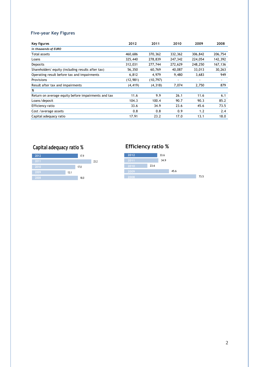## **Five-year Key Figures**

| Key figures                                         | 2012      | 2011      | 2010    | 2009    | 2008    |
|-----------------------------------------------------|-----------|-----------|---------|---------|---------|
| in thousands of EURO                                |           |           |         |         |         |
| Total assets                                        | 460.686   | 370,362   | 332,362 | 306,842 | 206,754 |
| Loans                                               | 325,440   | 278,839   | 247,342 | 224,054 | 142,392 |
| Deposits                                            | 312,031   | 277,744   | 272,629 | 248,250 | 167,136 |
| Shareholders' equity (including results after tax)  | 56,350    | 60.769    | 40,087  | 33,013  | 30.263  |
| Operating result before tax and impairments         | 6,812     | 4.979     | 9.480   | 3.683   | 949     |
| Provisions                                          | (12, 981) | (10, 797) |         |         |         |
| Result after tax and impairments                    | (4, 419)  | (4,318)   | 7.074   | 2.750   | 879     |
| %                                                   |           |           |         |         |         |
| Return on average equity before impairments and tax | 11.6      | 9.9       | 26.1    | 11.6    | 6.1     |
| Loans/deposit                                       | 104.3     | 100.4     | 90.7    | 90.3    | 85.2    |
| Efficiency ratio                                    | 33.6      | 34.9      | 23.6    | 45.6    | 73.5    |
| Cost / average assets                               | 0.8       | 0.8       | 0.9     | 1.2     | 2.4     |
| Capital adequacy ratio                              | 17.91     | 23.2      | 17.0    | 13.1    | 18.0    |

# **Capital adequacy ratio %**



## **Efficiency ratio %**

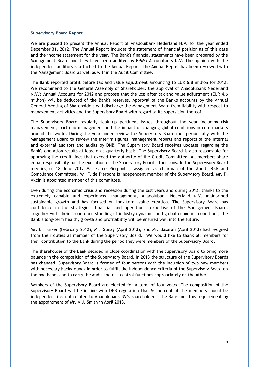#### **Supervisory Board Report**

We are pleased to present the Annual Report of Anadolubank Nederland N.V. for the year ended December 31, 2012. The Annual Report includes the statement of financial position as of this date and the income statement for the year. The Bank's financial statements have been prepared by the Management Board and they have been audited by KPMG Accountants N.V. The opinion with the independent auditors is attached to the Annual Report. The Annual Report has been reviewed with the Management Board as well as within the Audit Committee.

The Bank reported profit before tax and value adjustment amounting to EUR 6.8 million for 2012. We recommend to the General Assembly of Shareholders the approval of Anadolubank Nederland N.V.'s Annual Accounts for 2012 and propose that the loss after tax and value adjustment (EUR 4.6 million) will be deducted of the Bank's reserves. Approval of the Bank's accounts by the Annual General Meeting of Shareholders will discharge the Management Board from liability with respect to management activities and the Supervisory Board with regard to its supervision thereof.

The Supervisory Board regularly took up pertinent issues throughout the year including risk management, portfolio management and the impact of changing global conditions in core markets around the world. During the year under review the Supervisory Board met periodically with the Management Board to review the interim figures, management reports and reports of the internal and external auditors and audits by DNB. The Supervisory Board receives updates regarding the Bank's operation results at least on a quarterly basis. The Supervisory Board is also responsible for approving the credit lines that exceed the authority of the Credit Committee. All members share equal responsibility for the execution of the Supervisory Board's functions. In the Supervisory Board meeting of 18 June 2012 Mr. F. de Pierpont is assigned as chairman of the Audit, Risk and Compliance Committee. Mr. F. de Pierpont is independent member of the Supervisory Board. Mr. P. Akcin is appointed member of this committee.

Even during the economic crisis and recession during the last years and during 2012, thanks to the extremely capable and experienced management, Anadolubank Nederland N.V. maintained sustainable growth and has focused on long-term value creation. The Supervisory Board has confidence in the strategies, financial and operational expertise of the Management Board. Together with their broad understanding of industry dynamics and global economic conditions, the Bank's long-term health, growth and profitability will be ensured well into the future.

Mr. E. Turker (February 2012), Mr. Gunay (April 2013), and Mr. Basaran (April 2013) had resigned from their duties as member of the Supervisory Board. We would like to thank all members for their contribution to the Bank during the period they were members of the Supervisory Board.

The shareholder of the Bank decided in close coordination with the Supervisory Board to bring more balance in the composition of the Supervisory Board. In 2013 the structure of the Supervisory Boards has changed. Supervisory Board is formed of four persons with the inclusion of two new members with necessary backgrounds in order to fulfill the independence criteria of the Supervisory Board on the one hand, and to carry the audit and risk control functions appropriately on the other.

Members of the Supervisory Board are elected for a term of four years. The composition of the Supervisory Board will be in line with DNB regulation that 50 percent of the members should be independent i.e. not related to Anadolubank NV's shareholders. The Bank met this requirement by the appointment of Mr. A.J. Smith in April 2013.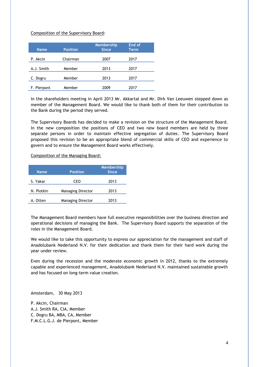## Composition of the Supervisory Board:

| <b>Name</b> | <b>Position</b> | Membership<br><b>Since</b> | End of<br><b>Term</b> |  |
|-------------|-----------------|----------------------------|-----------------------|--|
|             |                 |                            |                       |  |
| P. Akcin    | Chairman        | 2007                       | 2017                  |  |
|             |                 |                            |                       |  |
| A.J. Smith  | Member          | 2013                       | 2017                  |  |
|             |                 |                            |                       |  |
| C. Dogru    | Member          | 2013                       | 2017                  |  |
|             |                 |                            |                       |  |
| F. Pierpont | Member          | 2009                       | 2017                  |  |

In the shareholders meeting in April 2013 Mr. Akkartal and Mr. Dirk Van Leeuwen stepped down as member of the Management Board. We would like to thank both of them for their contribution to the Bank during the period they served.

The Supervisory Boards has decided to make a revision on the structure of the Management Board. In the new composition the positions of CEO and two new board members are held by three separate persons in order to maintain effective segregation of duties. The Supervisory Board proposed this revision to be an appropriate blend of commercial skills of CEO and experience to govern and to ensure the Management Board works effectively.

Composition of the Managing Board:

| <b>Name</b> | <b>Position</b>          | Membership<br><b>Since</b> |
|-------------|--------------------------|----------------------------|
| S. Yakar    | CEO                      | 2013                       |
| N. Plotkin  | <b>Managing Director</b> | 2013                       |
| A. Otten    | <b>Managing Director</b> | 2013                       |

The Management Board members have full executive responsibilities over the business direction and operational decisions of managing the Bank. The Supervisory Board supports the separation of the roles in the Management Board.

We would like to take this opportunity to express our appreciation for the management and staff of Anadolubank Nederland N.V. for their dedication and thank them for their hard work during the year under review.

Even during the recession and the moderate economic growth in 2012, thanks to the extremely capable and experienced management, Anadolubank Nederland N.V. maintained sustainable growth and has focused on long-term value creation.

Amsterdam, 30 May 2013

P. Akcin, Chairman A.J. Smith RA, CIA, Member C. Dogru BA, MBA, CA, Member F.M.C.L.G.J. de Pierpont, Member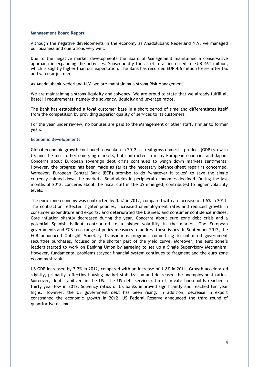#### **Management Board Report**

Although the negative developments in the economy as Anadolubank Nederland N.V. we managed our business and operations very well.

Due to the negative market developments the Board of Management maintained a conservative approach in expanding the activities. Subsequently the asset total increased to EUR 461 million, which is slightly higher than our expectation. The Bank has recorded EUR 4.6 million losses after tax and value adjustment.

As Anadolubank Nederland N.V. we are maintaining a strong Risk Management.

We are maintaining a strong liquidity and solvency. We are proud to state that we already fulfill all Basel III requirements, namely the solvency, liquidity and leverage ratios.

The Bank has established a loyal customer base in a short period of time and differentiates itself from the competition by providing superior quality of services to its customers.

For the year under review, no bonuses are paid to the Management or other staff, similar to former years.

#### **Economic Developments**

Global economic growth continued to weaken in 2012, as real gross domestic product (GDP) grew in US and the most other emerging markets, but contracted in many European countries and Japan. Concerns about European sovereign debt crisis continued to weigh down markets sentiments. However, the progress has been made as far as the necessary balance-sheet repair is concerned. Moreover, European Central Bank (ECB) promise to do 'whatever it takes' to save the single currency calmed down the markets. Bond yields in peripheral economies declined. During the last months of 2012, concerns about the fiscal cliff in the US emerged, contributed to higher volatility levels.

The euro zone economy was contracted by 0.5% in 2012, compared with an increase of 1.5% in 2011. The contraction reflected tighter policies, increased unemployment rates and reduced growth in consumer expenditure and exports, and deteriorated the business and consumer confidence indices. Core inflation slightly decreased during the year. Concerns about euro zone debt crisis and a potential Spanish bailout contributed to a higher volatility in the market. The European governments and ECB took range of policy measures to address these issues. In September 2012, the ECB announced Outright Monetary Transactions program, committing to unlimited government securities purchases, focused on the shorter part of the yield curve. Moreover, the euro zone's leaders started to work on Banking Union by agreeing to set up a Single Supervisory Mechanism. However, fundamental problems stayed: financial system continues to fragment and the euro zone economy shrank.

US GDP increased by 2.2% in 2012, compared with an increase of 1.8% in 2011. Growth accelerated slightly, primarily reflecting housing market stabilization and decreased the unemployment ratios. Moreover, debt stabilized in the US. The US debt-service ratio of private households reached a thirty year low in 2012. Solvency ratios of US banks improved significantly and reached ten year highs. However, the US government debt has been rising. In addition, decrease in export constrained the economic growth in 2012. US Federal Reserve announced the third round of quantitative easing.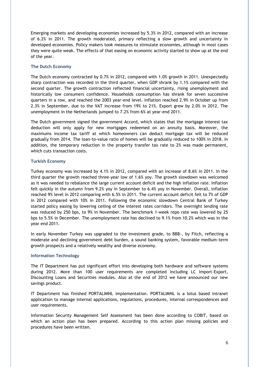Emerging markets and developing economies increased by 5.3% in 2012, compared with an increase of 6.2% in 2011. The growth moderated, primary reflecting a slow growth and uncertainty in developed economies. Policy makers took measures to stimulate economies, although in most cases they were quite weak. The effects of that easing on economic activity started to show up at the end of the year.

#### **The Dutch Economy**

The Dutch economy contracted by 0.7% in 2012, compared with 1.0% growth in 2011. Unexpectedly sharp contraction was recorded in the third quarter, when GDP shrank by 1.1% compared with the second quarter. The growth contraction reflected financial uncertainty, rising unemployment and historically low consumers confidence. Households consumption has shrank for seven successive quarters in a row, and reached the 2003 year-end level. Inflation reached 2.9% in October up from 2.3% in September, due to the VAT increase from 19% to 21%. Export grew by 2.0% in 2012. The unemployment in the Netherlands jumped to 7.2% from 6% at year-end 2011.

The Dutch government signed the government Accord, which states that the mortgage interest tax deduction will only apply for new mortgages redeemed on an annuity basis. Moreover, the maximums income tax tariff at which homeowners can deduct mortgage tax will be reduced gradually from 2014. The loan-to-value ratio of homes will be gradually reduced to 100% in 2018. In addition, the temporary reduction in the property transfer tax rate to 2% was made permanent, which cuts transaction costs.

#### **Turkish Economy**

Turkey economy was increased by 4.1% in 2012, compared with an increase of 8.6% in 2011. In the third quarter the growth reached three-year low of 1.6% yoy. The growth slowdown was welcomed as it was needed to rebalance the large current account deficit and the high inflation rate. Inflation felt quickly in the autumn from 9.2% yoy in September to 6.4% yoy in November. Overall, inflation reached 9% level in 2012 comparing with 6.5% in 2011. The current account deficit felt to 7% of GDP in 2012 compared with 10% in 2011. Following the economic slowdown Central Bank of Turkey started policy easing by lowering ceiling of the interest rates corridors. The overnight lending rate was reduced by 250 bps, to 9% in November. The benchmark 1-week repo rate was lowered by 25 bps to 5.5% in December. The unemployment rate has declined to 9.1% from 10.2% which was in the year end 2011.

In early November Turkey was upgraded to the investment grade, to BBB-, by Fitch, reflecting a moderate and declining government debt burden, a sound banking system, favorable medium-term growth prospects and a relatively wealthy and diverse economy.

#### **Information Technology**

The IT Department has put significant effort into developing both hardware and software systems during 2012. More than 100 user requirements are completed including LC Import-Export, Discounting Loans and Securities modules. Also at the end of 2012 we have announced our new savings product.

IT Department has finished PORTALIMNL implementation. PORTALIMNL is a lotus based intranet application to manage internal applications, regulations, procedures, internal correspondences and user requirements.

Information Security Management Self Assessment has been done according to COBIT, based on which an action plan has been prepared. According to this action plan missing policies and procedures have been written.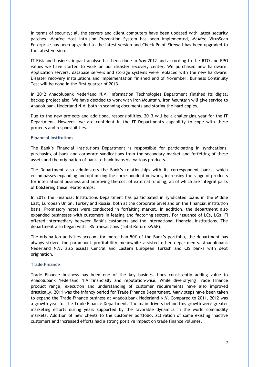In terms of security; all the servers and client computers have been updated with latest security patches. McAfee Host Intrusion Prevention System has been implemented, McAfee VirusScan Enterprise has been upgraded to the latest version and Check Point Firewall has been upgraded to the latest version.

IT Risk and business impact analyse has been done in May 2012 and according to the RTO and RPO values we have started to work on our disaster recovery center. We purchased new hardware. Application servers, database servers and storage systems were replaced with the new hardware. Disaster recovery installations and implementation finished end of November. Business Continuity Test will be done in the first quarter of 2013.

In 2012 Anadolubank Nederland N.V. Information Technologies Department finished its digital backup project also. We have decided to work with Iron Mountain. Iron Mountain will give service to Anadolubank Nederland N.V. both in scanning documents and storing the hard copies.

Due to the new projects and additional responsibilities, 2013 will be a challenging year for the IT Department. However, we are confident in the IT Department's capability to cope with these projects and responsibilities.

#### **Financial Institutions**

The Bank's Financial Institutions Department is responsible for participating in syndications, purchasing of bank and corporate syndications from the secondary market and forfeiting of these assets and the origination of bank-to-bank loans via various products.

The Department also administers the Bank's relationships with its correspondent banks, which encompasses expanding and optimizing the correspondent network, increasing the range of products for international business and improving the cost of external funding; all of which are integral parts of bolstering these relationships.

In 2012 the Financial Institutions Department has participated in syndicated loans in the Middle East, European Union, Turkey and Russia, both at the corporate level and on the financial institution basis. Promissory notes were conducted in forfaiting market. In addition, the department also expanded businesses with customers in leasing and factoring sectors. For issuance of LCs, LGs, FI offered intermediary between Bank's customers and the International financial institutions. The department also began with TRS transactions (Total Return SWAP).

The origination activities account for more than 50% of the Bank's portfolio, the department has always strived for paramount profitability meanwhile assisted other departments. Anadolubank Nederland N.V. also assists Central and Eastern European Turkish and CIS banks with debt origination.

## **Trade Finance**

Trade Finance business has been one of the key business lines consistently adding value to Anadolubank Nederland N.V financially and reputation-wise. While diversifying Trade Finance product range, execution and understanding of customer requirements have also improved drastically. 2011 was the infancy period for Trade Finance Department. Many steps have been taken to expand the Trade Finance business at Anadolubank Nederland N.V. Compared to 2011, 2012 was a growth year for the Trade Finance Department. The main drivers behind this growth were greater marketing efforts during years supported by the favorable dynamics in the world commodity markets. Addition of new clients to the customer portfolio, activation of some existing inactive customers and increased efforts had a strong positive impact on trade finance volumes.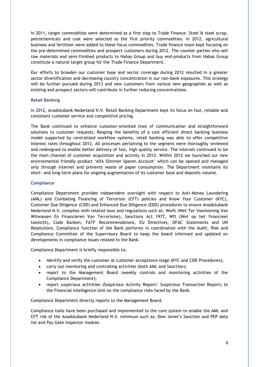In 2011, target commodities were determined as a first step to Trade Finance. Steel & steel scrap, petrochemicals and coal were selected as the first priority commodities. In 2012, agricultural business and fertilizer were added to these focus commodities. Trade finance team kept focusing on the pre-determined commodities and prospect customers during 2012. The counter parties who sell raw materials and semi-finished products to Habas Group and buy end-products from Habas Group constitute a natural target group for the Trade Finance Department.

Our efforts to broaden our customer base and sector coverage during 2012 resulted in a greater sector diversification and decreasing country concentration in our non-bank exposures. This strategy will be further pursued during 2013 and new customers from various new geographies as well as existing and prospect sectors will contribute in further reducing concentrations.

#### **Retail Banking**

In 2012, Anadolubank Nederland N.V. Retail Banking Department kept its focus on fast, reliable and consistent customer service and competitive pricing.

The Bank continued to enhance customer-oriented lines of communication and straightforward solutions to customer requests. Reaping the benefits of a cost efficient direct banking business model supported by centralized workflow systems, retail banking was able to offer competitive interest rates throughout 2012. All processes pertaining to the segment were thoroughly reviewed and redesigned to enable better delivery of fast, high quality service. The internet continued to be the main channel of customer acquisition and activity in 2012. Within 2012 we launched our new environmental friendly product 'Alfa Slimmer Sparen Account' which can be opened and managed only through internet and prevents waste of paper consumption. The Department maintains its short- and long-term plans for ongoing augmentation of its customer base and deposits volume.

#### **Compliance**

Compliance Department provides independent oversight with respect to Anti-Money Laundering (AML) and Combating Financing of Terrorism (CFT) policies and Know Your Customer (KYC), Customer Due Diligence (CDD) and Enhanced Due Diligence (EDD) procedures to ensure Anadolubank Nederland N.V. complies with related laws and regulations such as; Wwft (Wet Ter Voorkoming Van Witwassen En Financieren Van Terrorisme), Sanctions Act 1977, Wft (Wet op het financieel toezicht), Code Banken, FATF Recommendations, EU Directives, OFAC Statements and UN Resolutions. Compliance function of the Bank performs in coordination with the Audit, Risk and Compliance Committee of the Supervisory Board to keep the board informed and updated on developments in compliance issues related to the Bank.

Compliance Department is briefly responsible to;

- identify and verify the customer at customer acceptance stage (KYC and CDD Procedures);
- carry out monitoring and controlling activities (both AML and Sanction);
- report to the Management Board (weekly controls and monitoring activities of the Compliance Department);
- report suspicious activities (Suspicious Activity Report/ Suspicious Transaction Report) to the Financial Intelligence Unit on the compliance risks faced by the Bank.

Compliance Department directly reports to the Management Board.

Compliance tools have been purchased and implemented to the core system to enable the AML and CFT risk of the Anadolubank Nederland N.V. minimum such as; Dow Jones's Sanction and PEP data list and Pay Gate Inspector module.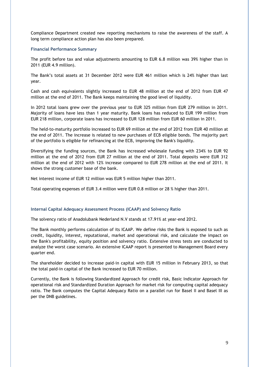Compliance Department created new reporting mechanisms to raise the awareness of the staff. A long term compliance action plan has also been prepared.

#### **Financial Performance Summary**

The profit before tax and value adjustments amounting to EUR 6.8 million was 39% higher than in 2011 (EUR 4.9 million).

The Bank's total assets at 31 December 2012 were EUR 461 million which is 24% higher than last year.

Cash and cash equivalents slightly increased to EUR 48 million at the end of 2012 from EUR 47 million at the end of 2011. The Bank keeps maintaining the good level of liquidity.

In 2012 total loans grew over the previous year to EUR 325 million from EUR 279 million in 2011. Majority of loans have less than 1 year maturity. Bank loans has reduced to EUR 199 million from EUR 218 million, corporate loans has increased to EUR 128 million from EUR 60 million in 2011.

The held-to-maturity portfolio increased to EUR 69 million at the end of 2012 from EUR 40 million at the end of 2011. The increase is related to new purchases of ECB eligible bonds. The majority part of the portfolio is eligible for refinancing at the ECB, improving the Bank's liquidity.

Diversifying the funding sources, the Bank has increased wholesale funding with 234% to EUR 92 million at the end of 2012 from EUR 27 million at the end of 2011. Total deposits were EUR 312 million at the end of 2012 with 12% increase compared to EUR 278 million at the end of 2011. It shows the strong customer base of the bank.

Net interest income of EUR 12 million was EUR 5 million higher than 2011.

Total operating expenses of EUR 3.4 million were EUR 0.8 million or 28 % higher than 2011.

#### **Internal Capital Adequacy Assessment Process (ICAAP) and Solvency Ratio**

The solvency ratio of Anadolubank Nederland N.V stands at 17.91% at year-end 2012.

The Bank monthly performs calculation of its ICAAP. We define risks the Bank is exposed to such as credit, liquidity, interest, reputational, market and operational risk, and calculate the impact on the Bank's profitability, equity position and solvency ratio. Extensive stress tests are conducted to analyze the worst case scenario. An extensive ICAAP report is presented to Management Board every quarter end.

The shareholder decided to increase paid-in capital with EUR 15 million in February 2013, so that the total paid-in capital of the Bank increased to EUR 70 million.

Currently, the Bank is following Standardized Approach for credit risk, Basic Indicator Approach for operational risk and Standardized Duration Approach for market risk for computing capital adequacy ratio. The Bank computes the Capital Adequacy Ratio on a parallel run for Basel II and Basel III as per the DNB guidelines.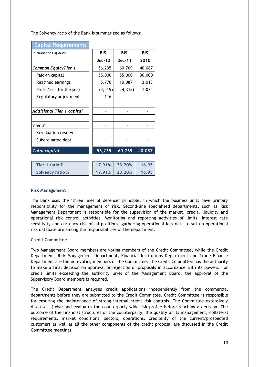The Solvency ratio of the Bank is summarized as follows:

**Capital Requirements**

| In thousands of euro        | <b>BIS</b><br><b>BIS</b> |               | <b>BIS</b> |       |
|-----------------------------|--------------------------|---------------|------------|-------|
|                             | <b>Dec-12</b>            | <b>Dec-11</b> | 2010       |       |
| Common EquityTier 1         | 56,235                   | 60,769        | 40,087     |       |
| Paid-in capital             | 55,000                   | 55,000        | 30,000     |       |
| Reatined earnings           | 5,770                    | 10,087        |            | 3,013 |
| Profit/loss for the year    | (4, 419)                 | (4, 318)      |            | 7,074 |
| Regulatory adjustments      | 116                      |               |            |       |
| Additional Tier 1 capital   |                          |               |            |       |
|                             |                          |               |            |       |
| Tier 2                      |                          |               |            |       |
| <b>Revaluation reserves</b> |                          |               |            |       |
| Subordinated debt           |                          |               |            |       |
| <b>Total capital</b>        | 56,235                   | 60,769        | 40,087     |       |

| Tier 1 ratio %          | 17.91% 23.20% | 16.95 |
|-------------------------|---------------|-------|
| <b>Solvency ratio %</b> | 17.91% 23.20% | 16.95 |

#### **Risk Management**

The Bank uses the 'three lines of defence' principle, in which the business units have primary responsibility for the management of risk. Second-line specialised departments, such as Risk Management Department is responsible for the supervision of the market, credit, liquidity and operational risk control activities. Monitoring and reporting activities of limits, interest rate sensitivity and currency risk of all positions, gathering operational loss data to set up operational risk database are among the responsibilities of the department.

#### **Credit Committee**

Two Management Board members are voting members of the Credit Committee, while the Credit Department, Risk Management Department, Financial Institutions Department and Trade Finance Department are the non-voting members of the Committee. The Credit Committee has the authority to make a final decision on approval or rejection of proposals in accordance with its powers. For credit limits exceeding the authority level of the Management Board, the approval of the Supervisory Board members is required.

The Credit Department analyses credit applications independently from the commercial departments before they are submitted to the Credit Committee. Credit Committee is responsible for ensuring the maintenance of strong internal credit risk controls. The Committee extensively discusses, judge and evaluates the counterparty wide risk profile before reaching a decision. The outcome of the financial structures of the counterparty, the quality of its management, collateral requirements, market conditions, sectors, operations, credibility of the current/prospected customers as well as all the other components of the credit proposal are discussed in the Credit Committee meetings.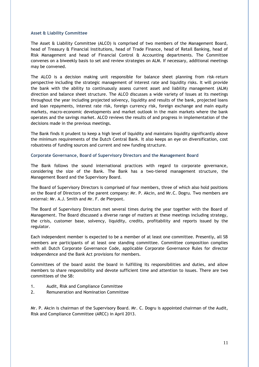#### **Asset & Liability Committee**

The Asset & Liability Committee (ALCO) is comprised of two members of the Management Board, head of Treasury & Financial Institutions, head of Trade Finance, head of Retail Banking, head of Risk Management and head of Financial Control & Accounting departments. The Committee convenes on a biweekly basis to set and review strategies on ALM. If necessary, additional meetings may be convened.

The ALCO is a decision making unit responsible for balance sheet planning from risk-return perspective including the strategic management of interest rate and liquidity risks. It will provide the bank with the ability to continuously assess current asset and liability management (ALM) direction and balance sheet structure. The ALCO discusses a wide variety of issues at its meetings throughout the year including projected solvency, liquidity and results of the bank, projected loans and loan repayments, interest rate risk, foreign currency risk, foreign exchange and main equity markets, macro-economic developments and market outlook in the main markets where the bank operates and the savings market. ALCO reviews the results of and progress in implementation of the decisions made in the previous meetings.

The Bank finds it prudent to keep a high level of liquidity and maintains liquidity significantly above the minimum requirements of the Dutch Central Bank. It also keeps an eye on diversification, cost robustness of funding sources and current and new funding structure.

#### **Corporate Governance, Board of Supervisory Directors and the Management Board**

The Bank follows the sound international practices with regard to corporate governance, considering the size of the Bank. The Bank has a two-tiered management structure, the Management Board and the Supervisory Board.

The Board of Supervisory Directors is comprised of four members, three of which also hold positions on the Board of Directors of the parent company: Mr. P. Akcin, and Mr.C. Dogru. Two members are external: Mr. A.J. Smith and Mr. F. de Pierpont.

The Board of Supervisory Directors met several times during the year together with the Board of Management. The Board discussed a diverse range of matters at these meetings including strategy, the crisis, customer base, solvency, liquidity, credits, profitability and reports issued by the regulator.

Each independent member is expected to be a member of at least one committee. Presently, all SB members are participants of at least one standing committee. Committee composition complies with all Dutch Corporate Governance Code, applicable Corporate Governance Rules for director independence and the Bank Act provisions for members.

Committees of the board assist the board in fulfilling its responsibilities and duties, and allow members to share responsibility and devote sufficient time and attention to issues. There are two committees of the SB:

- 1. Audit, Risk and Compliance Committee
- 2. Remuneration and Nomination Committee

Mr. P. Akcin is chairman of the Supervisory Board. Mr. C. Dogru is appointed chairman of the Audit, Risk and Compliance Committee (ARCC) in April 2013.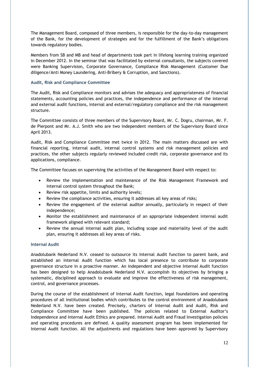The Management Board, composed of three members, is responsible for the day-to-day management of the Bank, for the development of strategies and for the fulfillment of the Bank's obligations towards regulatory bodies.

Members from SB and MB and head of departments took part in lifelong learning training organized in December 2012. In the seminar that was facilitated by external consultants, the subjects covered were Banking Supervision, Corporate Governance, Compliance Risk Management (Customer Due diligence/Anti Money Laundering, Anti-Bribery & Corruption, and Sanctions).

#### **Audit, Risk and Compliance Committee**

The Audit, Risk and Compliance monitors and advises the adequacy and appropriateness of financial statements, accounting policies and practices, the independence and performance of the internal and external audit functions, internal and external/regulatory compliance and the risk management structure.

The Committee consists of three members of the Supervisory Board, Mr. C. Dogru, chairman, Mr. F. de Pierpont and Mr. A.J. Smith who are two independent members of the Supervisory Board since April 2013.

Audit, Risk and Compliance Committee met twice in 2012. The main matters discussed are with financial reporting, internal audit, internal control systems and risk management policies and practices, the other subjects regularly reviewed included credit risk, corporate governance and its applications, compliance.

The Committee focuses on supervising the activities of the Management Board with respect to:

- Review the implementation and maintenance of the Risk Management Framework and internal control system throughout the Bank;
- Review risk appetite, limits and authority levels;
- Review the compliance activities, ensuring it addresses all key areas of risks;
- Review the engagement of the external auditor annually, particularly in respect of their independence;
- Monitor the establishment and maintenance of an appropriate independent internal audit framework aligned with relevant standard;
- Review the annual internal audit plan, including scope and materiality level of the audit plan, ensuring it addresses all key areas of risks.

#### **Internal Audit**

Anadolubank Nederland N.V. ceased to outsource its Internal Audit function to parent bank, and established an Internal Audit function which has local presence to contribute to corporate governance structure in a proactive manner. An independent and objective Internal Audit function has been designed to help Anadolubank Nederland N.V. accomplish its objectives by bringing a systematic, disciplined approach to evaluate and improve the effectiveness of risk management, control, and governance processes.

During the course of the establishment of Internal Audit function, legal foundations and operating procedures of all institutional bodies which contributes to the control environment of Anadolubank Nederland N.V. have been created. Precisely, charters of Internal Audit and Audit, Risk and Compliance Committee have been published. The policies related to External Auditor's Independence and Internal Audit Ethics are prepared. Internal Audit and Fraud Investigation policies and operating procedures are defined. A quality assessment program has been implemented for Internal Audit function. All the adjustments and regulations have been approved by Supervisory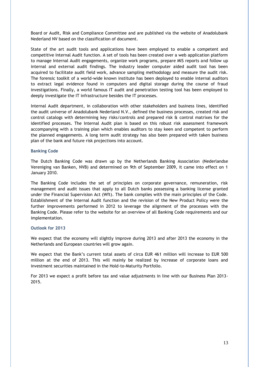Board or Audit, Risk and Compliance Committee and are published via the website of Anadolubank Nederland NV based on the classification of document.

State of the art audit tools and applications have been employed to enable a competent and competitive Internal Audit function. A set of tools has been created over a web application platform to manage Internal Audit engagements, organize work programs, prepare MIS reports and follow up internal and external audit findings. The industry leader computer aided audit tool has been acquired to facilitate audit field work, advance sampling methodology and measure the audit risk. The forensic toolkit of a world-wide known institute has been deployed to enable internal auditors to extract legal evidence found in computers and digital storage during the course of fraud investigations. Finally, a world famous IT audit and penetration testing tool has been employed to deeply investigate the IT infrastructure besides the IT processes.

Internal Audit department, in collaboration with other stakeholders and business lines, identified the audit universe of Anadolubank Nederland N.V., defined the business processes, created risk and control catalogs with determining key risks/controls and prepared risk & control matrixes for the identified processes. The Internal Audit plan is based on this robust risk assessment framework accompanying with a training plan which enables auditors to stay keen and competent to perform the planned engagements. A long term audit strategy has also been prepared with taken business plan of the bank and future risk projections into account.

#### **Banking Code**

The Dutch Banking Code was drawn up by the Netherlands Banking Association (Nederlandse Vereniging van Banken, NVB) and determined on 9th of September 2009, it came into effect on 1 January 2010.

The Banking Code includes the set of principles on corporate governance, remuneration, risk management and audit issues that apply to all Dutch banks possessing a banking license granted under the Financial Supervision Act (Wft). The bank complies with the main principles of the Code. Establishment of the Internal Audit function and the revision of the New Product Policy were the further improvements performed in 2012 to leverage the alignment of the processes with the Banking Code. Please refer to the website for an overview of all Banking Code requirements and our implementation.

## **Outlook for 2013**

We expect that the economy will slightly improve during 2013 and after 2013 the economy in the Netherlands and European countries will grow again.

We expect that the Bank's current total assets of circa EUR 461 million will increase to EUR 500 million at the end of 2013. This will mainly be realized by increase of corporate loans and investment securities maintained in the Hold-to-Maturity Portfolio.

For 2013 we expect a profit before tax and value adjustments in line with our Business Plan 2013- 2015.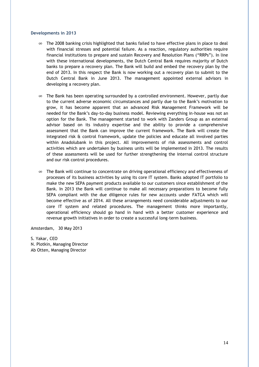#### **Developments in 2013**

- ∞ The 2008 banking crisis highlighted that banks failed to have effective plans in place to deal with financial stresses and potential failure. As a reaction, regulatory authorities require financial institutions to prepare and sustain Recovery and Resolution Plans ("RRPs"). In line with these international developments, the Dutch Central Bank requires majority of Dutch banks to prepare a recovery plan. The Bank will build and embed the recovery plan by the end of 2013. In this respect the Bank is now working out a recovery plan to submit to the Dutch Central Bank in June 2013. The management appointed external advisors in developing a recovery plan.
- ∞ The Bank has been operating surrounded by a controlled environment. However, partly due to the current adverse economic circumstances and partly due to the Bank's motivation to grow, it has become apparent that an advanced Risk Management Framework will be needed for the Bank's day-to-day business model. Reviewing everything in-house was not an option for the Bank. The management started to work with Zanders Group as an external advisor based on its industry expertise and the ability to provide a comprehensive assessment that the Bank can improve the current framework. The Bank will create the integrated risk & control framework, update the policies and educate all involved parties within Anadolubank in this project. All improvements of risk assessments and control activities which are undertaken by business units will be implemented in 2013. The results of these assessments will be used for further strengthening the internal control structure and our risk control procedures.
- ∞ The Bank will continue to concentrate on driving operational efficiency and effectiveness of processes of its business activities by using its core IT system. Banks adopted IT portfolio to make the new SEPA payment products available to our customers since establishment of the Bank. In 2013 the Bank will continue to make all necessary preparations to become fully SEPA compliant with the due diligence rules for new accounts under FATCA which will become effective as of 2014. All these arrangements need considerable adjustments to our core IT system and related procedures. The management thinks more importantly, operational efficiency should go hand in hand with a better customer experience and revenue growth initiatives in order to create a successful long-term business.

Amsterdam, 30 May 2013

S. Yakar, CEO N. Plotkin, Managing Director Ab Otten, Managing Director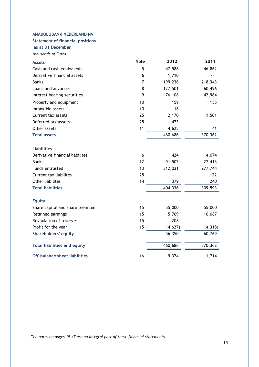## **Statement of financial positions**

 **as at 31 December**

*thousands of Euros*

| <b>Assets</b>                       | <b>Note</b> | 2012    | 2011     |
|-------------------------------------|-------------|---------|----------|
| Cash and cash equivalents           | 5           | 47,588  | 46,862   |
| Derivative financial assets         | 6           | 1,710   |          |
| <b>Banks</b>                        | 7           | 199,236 | 218,343  |
| Loans and advances                  | 8           | 127,501 | 60,496   |
| Interest bearing securities         | 9           | 76,108  | 42,964   |
| Property and equipment              | 10          | 159     | 155      |
| Intangible assets                   | 10          | 116     |          |
| Current tax assets                  | 25          | 2,170   | 1,501    |
| Deferred tax assets                 | 25          | 1,473   |          |
| Other assets                        | 11          | 4,625   | 41       |
| <b>Total assets</b>                 |             | 460,686 | 370,362  |
|                                     |             |         |          |
| <b>Liabilities</b>                  |             |         |          |
| Derivative financial liabilites     | 6           | 424     | 4,074    |
| <b>Banks</b>                        | 12          | 91,502  | 27,413   |
| Funds entrusted                     | 13          | 312,031 | 277,744  |
| Current tax liabilites              | 25          |         | 122      |
| Other liabilites                    | 14          | 379     | 240      |
| <b>Total liabilities</b>            |             | 404,336 | 309,593  |
| <b>Equity</b>                       |             |         |          |
| Share capital and share premium     | 15          | 55,000  | 55,000   |
| Retained earnings                   | 15          | 5,769   | 10,087   |
| Revaulation of reserves             | 15          | 208     |          |
| Profit for the year                 | 15          | (4,627) | (4, 318) |
| <b>Shareholders' equity</b>         |             | 56,350  | 60,769   |
| <b>Total liabilities and equity</b> |             | 460,686 | 370,362  |
| Off-balance sheet liabilities       | 16          | 9,374   | 1,714    |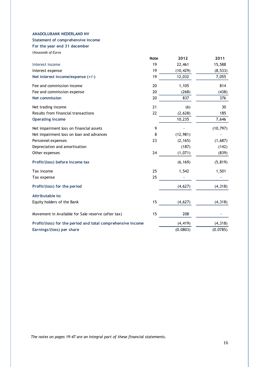## **Statement of comprehensive income**

**For the year end 31 december** *thousands of Euros*

|                                                             | <b>Note</b> | 2012      | 2011      |
|-------------------------------------------------------------|-------------|-----------|-----------|
| Interest income                                             | 19          | 22,461    | 15,588    |
| Interest expense                                            | 19          | (10, 429) | (8, 533)  |
| Net interest income/expense (+/-)                           | 19          | 12,032    | 7,055     |
| Fee and commission income                                   | 20          | 1,105     | 814       |
| Fee and commission expense                                  | 20          | (268)     | (438)     |
| <b>Net commission</b>                                       | 20          | 837       | 376       |
| Net trading income                                          | 21          | (6)       | 30        |
| Results from financial transactions                         | 22          | (2,628)   | 185       |
| <b>Operating income</b>                                     |             | 10,235    | 7,646     |
| Net impairment loss on financial assets                     | 9           |           | (10, 797) |
| Net impairment loss on loan and advances                    | 8           | (12, 981) |           |
| Personnel expenses                                          | 23          | (2, 165)  | (1,687)   |
| Depreciation and amortisation                               |             | (187)     | (142)     |
| Other expenses                                              | 24          | (1,071)   | (839)     |
| Profit/(loss) before income tax                             |             | (6, 169)  | (5, 819)  |
| Tax income                                                  | 25          | 1,542     | 1,501     |
| Tax expense                                                 | 25          |           |           |
| Profit/(loss) for the period                                |             | (4,627)   | (4, 318)  |
| <b>Attributable to:</b>                                     |             |           |           |
| Equity holders of the Bank                                  | 15          | (4,627)   | (4, 318)  |
| Movement in Available for Sale reserve (after tax)          | 15          | 208       |           |
| Profit/(loss) for the period and total comprehensive income |             | (4, 419)  | (4, 318)  |
| Earnings/(loss) per share                                   |             | (0.0803)  | (0.0785)  |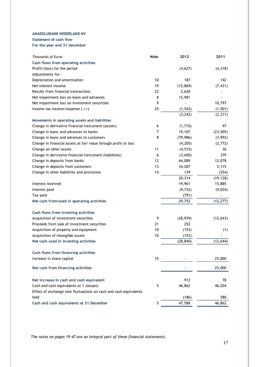#### **Statement of cash flow**

**For the year end 31 december**

| Thousands of Euros                                                | <b>Note</b> | 2012      | 2011      |
|-------------------------------------------------------------------|-------------|-----------|-----------|
| Cash flows from operating activities                              |             |           |           |
| Profit/(loss) for the period                                      |             | (4,627)   | (4, 318)  |
| Adjustments for:                                                  |             |           |           |
| Depreciation and amortisation                                     | 10          | 187       | 142       |
| Net interest income                                               | 19          | (12, 869) | (7, 431)  |
| Results from financial transactions                               | 22          | 2,628     |           |
| Net impairment loss on loans and advances                         | 8           | 12,981    |           |
| Net impairment loss on investment securities                      | 9           |           | 10,797    |
| Income tax income/expense $(-/+)$                                 | 25          | (1, 542)  | (1, 501)  |
|                                                                   |             | (3, 242)  | (2, 311)  |
| Movements in operating assets and liabilities                     |             |           |           |
| Change in derivative financial instrument (assets)                | 6           | (1,710)   | 97        |
| Change in loans and advances to banks                             | 7           | 19,107    | (23, 505) |
| Change in loans and advances to customers                         | 8           | (79, 986) | (7,992)   |
| Change in financial assets at fair value through profit or loss   |             | (4, 205)  | (2,772)   |
| Change on other assets                                            | 11          | (4, 515)  | 36        |
| Change in derivative financial instrument (liabilities)           | 6           | (3,650)   | 379       |
| Change in deposits from banks                                     | 12          | 64,089    | 12,078    |
| Change in deposits from customers                                 | 13          | 34,287    | 5,115     |
| Change in other liabilities and provisions                        | 14          | 139       | (254)     |
|                                                                   |             | 20,314    | (19, 128) |
| Interest received                                                 |             | 19,961    | 15,885    |
| Interest paid                                                     |             | (9, 732)  | (9,034)   |
| Tax paid                                                          |             | (791)     |           |
| Net cash from/used in operating activities                        |             | 29,752    | (12, 277) |
| Cash flows from investing activities                              |             |           |           |
| Acquisition of investment securities                              | 9           | (28, 939) | (12, 643) |
| Proceeds from sale of investment securities                       | 21          | 252       |           |
| Acquisition of property and equipment                             | 10          | (153)     | (1)       |
| Acquisition of intangible assets                                  | 10          | (153)     |           |
| Net cash used in investing activities                             |             | (28, 840) | (12, 644) |
| Cash flows from financing activities                              |             |           |           |
| Increase in share capital                                         | 15          |           | 25,000    |
| Net cash from financing activities                                |             |           | 25,000    |
| Net increase in cash and cash equivalent                          |             | 912       | 78        |
| Cash and cash equivalents at 1 January                            | 5           | 46,862    | 46,204    |
| Effect of exchange rate fluctuations on cash and cash equivalents |             |           |           |
| held                                                              |             | (186)     | 580       |
| Cash and cash equivalents at 31 December                          | 5           | 47,588    | 46,862    |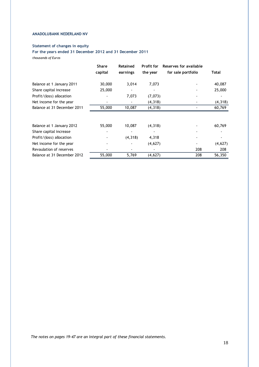## **Statement of changes in equity**

**For the years ended 31 December 2012 and 31 December 2011** *thousands of Euros*

|                             | <b>Share</b><br>capital | <b>Retained</b><br>earnings | <b>Profit for</b><br>the year | Reserves for available<br>for sale portfolio | Total    |
|-----------------------------|-------------------------|-----------------------------|-------------------------------|----------------------------------------------|----------|
| Balance at 1 January 2011   | 30,000                  | 3,014                       | 7,073                         |                                              | 40,087   |
| Share capital increase      | 25,000                  |                             |                               |                                              | 25,000   |
| Profit/(loss) allocation    |                         | 7,073                       | (7,073)                       |                                              |          |
| Net income for the year     |                         |                             | (4, 318)                      |                                              | (4, 318) |
| Balance at 31 December 2011 | 55,000                  | 10,087                      | (4, 318)                      |                                              | 60,769   |
|                             |                         |                             |                               |                                              |          |
| Balance at 1 January 2012   | 55,000                  | 10,087                      | (4, 318)                      |                                              | 60,769   |
| Share capital increase      |                         |                             |                               |                                              |          |
| Profit/(loss) allocation    |                         | (4, 318)                    | 4,318                         |                                              |          |
| Net income for the year     |                         |                             | (4,627)                       |                                              | (4,627)  |
| Revaulation of reserves     |                         |                             |                               | 208                                          | 208      |
| Balance at 31 December 2012 | 55,000                  | 5,769                       | (4,627)                       | 208                                          | 56,350   |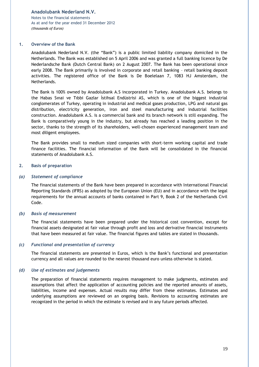Notes to the financial statements As at and for the year ended 31 December 2012 *(thousands of Euros)*

#### **1. Overview of the Bank**

Anadolubank Nederland N.V. (the "Bank") is a public limited liability company domiciled in the Netherlands. The Bank was established on 5 April 2006 and was granted a full banking licence by De Nederlandsche Bank (Dutch Central Bank) on 2 August 2007. The Bank has been operational since early 2008. The Bank primarily is involved in corporate and retail banking – retail banking deposit activities. The registered office of the Bank is De Boelelaan 7, 1083 HJ Amsterdam, the Netherlands.

The Bank is 100% owned by Anadolubank A.S incorporated in Turkey. Anadolubank A.S. belongs to the Habas Sınai ve Tıbbi Gazlar İstihsal Endüstrisi AS, which is one of the biggest industrial conglomerates of Turkey, operating in industrial and medical gases production, LPG and natural gas distribution, electricity generation, iron and steel manufacturing and industrial facilities construction. Anadolubank A.S. is a commercial bank and its branch network is still expanding. The Bank is comparatively young in the industry, but already has reached a leading position in the sector, thanks to the strength of its shareholders, well-chosen experienced management team and most diligent employees.

The Bank provides small to medium sized companies with short-term working capital and trade finance facilities. The financial information of the Bank will be consolidated in the financial statements of Anadolubank A.S.

#### **2. Basis of preparation**

#### *(a) Statement of compliance*

The financial statements of the Bank have been prepared in accordance with International Financial Reporting Standards (IFRS) as adopted by the European Union (EU) and in accordance with the legal requirements for the annual accounts of banks contained in Part 9, Book 2 of the Netherlands Civil Code.

#### *(b) Basis of measurement*

The financial statements have been prepared under the historical cost convention, except for financial assets designated at fair value through profit and loss and derivative financial instruments that have been measured at fair value. The financial figures and tables are stated in thousands.

#### *(c) Functional and presentation of currency*

The financial statements are presented in Euros, which is the Bank's functional and presentation currency and all values are rounded to the nearest thousand euro unless otherwise is stated.

#### *(d) Use of estimates and judgements*

The preparation of financial statements requires management to make judgments, estimates and assumptions that affect the application of accounting policies and the reported amounts of assets, liabilities, income and expenses. Actual results may differ from these estimates. Estimates and underlying assumptions are reviewed on an ongoing basis. Revisions to accounting estimates are recognized in the period in which the estimate is revised and in any future periods affected.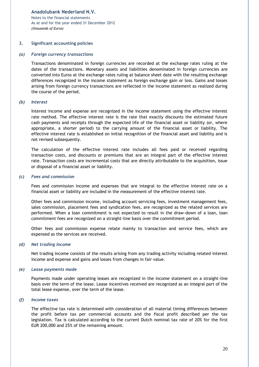Notes to the financial statements As at and for the year ended 31 December 2012 *(thousands of Euros)*

#### **3. Significant accounting policies**

#### *(a) Foreign currency transactions*

Transactions denominated in foreign currencies are recorded at the exchange rates ruling at the dates of the transactions. Monetary assets and liabilities denominated in foreign currencies are converted into Euros at the exchange rates ruling at balance sheet date with the resulting exchange differences recognized in the income statement as foreign exchange gain or loss. Gains and losses arising from foreign currency transactions are reflected in the income statement as realized during the course of the period.

#### *(b) Interest*

Interest income and expense are recognized in the income statement using the effective interest rate method. The effective interest rate is the rate that exactly discounts the estimated future cash payments and receipts through the expected life of the financial asset or liability (or, where appropriate, a shorter period) to the carrying amount of the financial asset or liability. The effective interest rate is established on initial recognition of the financial asset and liability and is not revised subsequently.

The calculation of the effective interest rate includes all fees paid or received regarding transaction costs, and discounts or premiums that are an integral part of the effective interest rate. Transaction costs are incremental costs that are directly attributable to the acquisition, issue or disposal of a financial asset or liability.

#### *(c) Fees and commission*

Fees and commission income and expenses that are integral to the effective interest rate on a financial asset or liability are included in the measurement of the effective interest rate.

Other fees and commission income, including account servicing fees, investment management fees, sales commission, placement fees and syndication fees, are recognized as the related services are performed. When a loan commitment is not expected to result in the draw-down of a loan, loan commitment fees are recognized on a straight-line basis over the commitment period.

Other fees and commission expense relate mainly to transaction and service fees, which are expensed as the services are received.

#### *(d) Net trading income*

Net trading income consists of the results arising from any trading activity including related interest income and expense and gains and losses from changes in fair value.

## *(e) Lease payments made*

Payments made under operating leases are recognized in the income statement on a straight-line basis over the term of the lease. Lease incentives received are recognized as an integral part of the total lease expense, over the term of the lease.

#### *(f) Income taxes*

The effective tax rate is determined with consideration of all material timing differences between the profit before tax per commercial accounts and the fiscal profit described per the tax legislation. Tax is calculated according to the current Dutch nominal tax rate of 20% for the first EUR 200,000 and 25% of the remaining amount.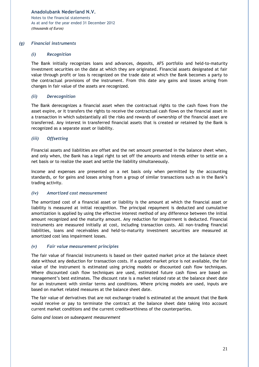Notes to the financial statements As at and for the year ended 31 December 2012 *(thousands of Euros)*

## *(g) Financial instruments*

## *(i) Recognition*

The Bank initially recognizes loans and advances, deposits, AFS portfolio and held-to-maturity investment securities on the date at which they are originated. Financial assets designated at fair value through profit or loss is recognized on the trade date at which the Bank becomes a party to the contractual provisions of the instrument. From this date any gains and losses arising from changes in fair value of the assets are recognized.

## *(ii) Derecognition*

The Bank derecognizes a financial asset when the contractual rights to the cash flows from the asset expire, or it transfers the rights to receive the contractual cash flows on the financial asset in a transaction in which substantially all the risks and rewards of ownership of the financial asset are transferred. Any interest in transferred financial assets that is created or retained by the Bank is recognized as a separate asset or liability.

## *(iii) Offsetting*

Financial assets and liabilities are offset and the net amount presented in the balance sheet when, and only when, the Bank has a legal right to set off the amounts and intends either to settle on a net basis or to realize the asset and settle the liability simultaneously.

Income and expenses are presented on a net basis only when permitted by the accounting standards, or for gains and losses arising from a group of similar transactions such as in the Bank's trading activity.

#### *(iv) Amortized cost measurement*

The amortized cost of a financial asset or liability is the amount at which the financial asset or liability is measured at initial recognition. The principal repayment is deducted and cumulative amortization is applied by using the effective interest method of any difference between the initial amount recognized and the maturity amount. Any reduction for impairment is deducted. Financial instruments are measured initially at cost, including transaction costs. All non-trading financial liabilities, loans and receivables and held-to-maturity investment securities are measured at amortized cost less impairment losses.

#### *(v) Fair value measurement principles*

The fair value of financial instruments is based on their quoted market price at the balance sheet date without any deduction for transaction costs. If a quoted market price is not available, the fair value of the instrument is estimated using pricing models or discounted cash flow techniques. Where discounted cash flow techniques are used, estimated future cash flows are based on management's best estimates. The discount rate is a market related rate at the balance sheet date for an instrument with similar terms and conditions. Where pricing models are used, inputs are based on market related measures at the balance sheet date.

The fair value of derivatives that are not exchange-traded is estimated at the amount that the Bank would receive or pay to terminate the contract at the balance sheet date taking into account current market conditions and the current creditworthiness of the counterparties.

*Gains and losses on subsequent measurement*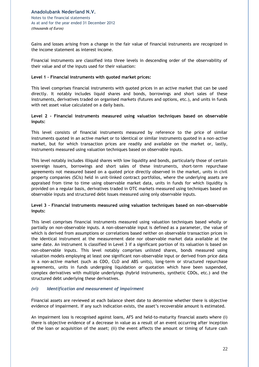Gains and losses arising from a change in the fair value of financial instruments are recognized in the income statement as interest income.

Financial instruments are classified into three levels in descending order of the observability of their value and of the inputs used for their valuation:

#### **Level 1 – Financial instruments with quoted market prices:**

This level comprises financial instruments with quoted prices in an active market that can be used directly. It notably includes liquid shares and bonds, borrowings and short sales of these instruments, derivatives traded on organised markets (futures and options, etc.), and units in funds with net asset value calculated on a daily basis.

**Level 2 - Financial instruments measured using valuation techniques based on observable inputs:**

This level consists of financial instruments measured by reference to the price of similar instruments quoted in an active market or to identical or similar instruments quoted in a non-active market, but for which transaction prices are readily and available on the market or, lastly, instruments measured using valuation techniques based on observable inputs.

This level notably includes illiquid shares with low liquidity and bonds, particularly those of certain sovereign issuers, borrowings and short sales of these instruments, short-term repurchase agreements not measured based on a quoted price directly observed in the market, units in civil property companies (SCIs) held in unit-linked contract portfolios, where the underlying assets are appraised from time to time using observable market data, units in funds for which liquidity is provided on a regular basis, derivatives traded in OTC markets measured using techniques based on observable inputs and structured debt issues measured using only observable inputs.

#### **Level 3 - Financial instruments measured using valuation techniques based on non-observable inputs:**

This level comprises financial instruments measured using valuation techniques based wholly or partially on non-observable inputs. A non-observable input is defined as a parameter, the value of which is derived from assumptions or correlations based neither on observable transaction prices in the identical instrument at the measurement date nor observable market data available at the same date. An instrument is classified in Level 3 if a significant portion of its valuation is based on non-observable inputs. This level notably comprises unlisted shares, bonds measured using valuation models employing at least one significant non-observable input or derived from price data in a non-active market (such as CDO, CLO and ABS units), long-term or structured repurchase agreements, units in funds undergoing liquidation or quotation which have been suspended, complex derivatives with multiple underlyings (hybrid instruments, synthetic CDOs, etc.) and the structured debt underlying these derivatives.

#### *(vi) Identification and measurement of impairment*

Financial assets are reviewed at each balance sheet date to determine whether there is objective evidence of impairment. If any such indication exists, the asset's recoverable amount is estimated.

An impairment loss is recognised against loans, AFS and held-to-maturity financial assets where (i) there is objective evidence of a decrease in value as a result of an event occurring after inception of the loan or acquisition of the asset; (ii) the event affects the amount or timing of future cash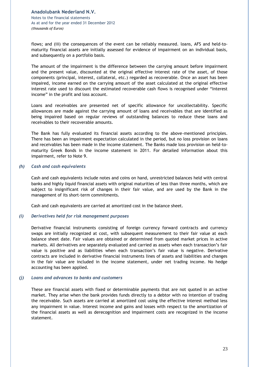Notes to the financial statements As at and for the year ended 31 December 2012 *(thousands of Euros)*

flows; and (iii) the consequences of the event can be reliably measured. loans, AFS and held-tomaturity financial assets are initially assessed for evidence of impairment on an individual basis, and subsequently on a portfolio basis.

The amount of the impairment is the difference between the carrying amount before impairment and the present value, discounted at the original effective interest rate of the asset, of those components (principal, interest, collateral, etc.) regarded as recoverable. Once an asset has been impaired, income earned on the carrying amount of the asset calculated at the original effective interest rate used to discount the estimated recoverable cash flows is recognised under "Interest income" in the profit and loss account.

Loans and receivables are presented net of specific allowance for uncollectability. Specific allowances are made against the carrying amount of loans and receivables that are identified as being impaired based on regular reviews of outstanding balances to reduce these loans and receivables to their recoverable amounts.

The Bank has fully evaluated its financial assets according to the above-mentioned principles. There has been an impairment expectation calculated in the period, but no loss provision on loans and receivables has been made in the income statement. The Banks made loss provision on held-tomaturity Greek Bonds in the income statement in 2011. For detailed information about this impairment, refer to Note 9.

#### *(h) Cash and cash equivalents*

Cash and cash equivalents include notes and coins on hand, unrestricted balances held with central banks and highly liquid financial assets with original maturities of less than three months, which are subject to insignificant risk of changes in their fair value, and are used by the Bank in the management of its short-term commitments.

Cash and cash equivalents are carried at amortized cost in the balance sheet.

#### *(i) Derivatives held for risk management purposes*

Derivative financial instruments consisting of foreign currency forward contracts and currency swaps are initially recognized at cost, with subsequent measurement to their fair value at each balance sheet date. Fair values are obtained or determined from quoted market prices in active markets. All derivatives are separately evaluated and carried as assets when each transaction's fair value is positive and as liabilities when each transaction's fair value is negative. Derivative contracts are included in derivative financial instruments lines of assets and liabilities and changes in the fair value are included in the income statement, under net trading income. No hedge accounting has been applied.

#### *(j) Loans and advances to banks and customers*

These are financial assets with fixed or determinable payments that are not quoted in an active market. They arise when the bank provides funds directly to a debtor with no intention of trading the receivable. Such assets are carried at amortized cost using the effective interest method less any impairment in value. Interest income and gains and losses with respect to the amortization of the financial assets as well as derecognition and impairment costs are recognized in the income statement.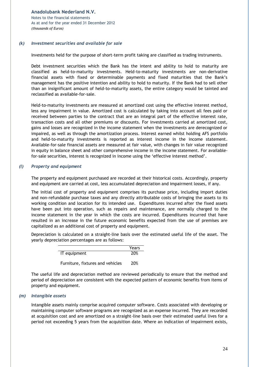**Anadolubank Nederland N.V.** Notes to the financial statements As at and for the year ended 31 December 2012 *(thousands of Euros)*

#### *(k) Investment securities and available for sale*

Investments held for the purpose of short-term profit taking are classified as trading instruments.

Debt investment securities which the Bank has the intent and ability to hold to maturity are classified as held-to-maturity investments. Held-to-maturity investments are non-derivative financial assets with fixed or determinable payments and fixed maturities that the Bank's management has the positive intention and ability to hold to maturity. If the Bank had to sell other than an insignificant amount of held-to-maturity assets, the entire category would be tainted and reclassified as available-for-sale.

Held-to-maturity investments are measured at amortized cost using the effective interest method, less any impairment in value. Amortized cost is calculated by taking into account all fees paid or received between parties to the contract that are an integral part of the effective interest rate, transaction costs and all other premiums or discounts. For investments carried at amortized cost, gains and losses are recognized in the income statement when the investments are derecognized or impaired, as well as through the amortization process. Interest earned whilst holding AFS portfolio and held-to-maturity investments is reported as interest income in the income statement. Available-for-sale financial assets are measured at fair value, with changes in fair value recognized in equity in balance sheet and other comprehensive income in the income statement. For availablefor-sale securities, interest is recognized in income using the 'effective interest method'.

## *(l) Property and equipment*

The property and equipment purchased are recorded at their historical costs. Accordingly, property and equipment are carried at cost, less accumulated depreciation and impairment losses, if any.

The initial cost of property and equipment comprises its purchase price, including import duties and non-refundable purchase taxes and any directly attributable costs of bringing the assets to its working condition and location for its intended use. Expenditures incurred after the fixed assets have been put into operation, such as repairs and maintenance, are normally charged to the income statement in the year in which the costs are incurred. Expenditures incurred that have resulted in an increase in the future economic benefits expected from the use of premises are capitalized as an additional cost of property and equipment.

Depreciation is calculated on a straight-line basis over the estimated useful life of the asset. The yearly depreciation percentages are as follows:

|                                  | Years |
|----------------------------------|-------|
| IT equipment                     | 20%   |
| Furniture, fixtures and vehicles | 20%   |

The useful life and depreciation method are reviewed periodically to ensure that the method and period of depreciation are consistent with the expected pattern of economic benefits from items of property and equipment.

#### *(m) Intangible assets*

Intangible assets mainly comprise acquired computer software. Costs associated with developing or maintaining computer software programs are recognized as an expense incurred. They are recorded at acquisition cost and are amortized on a straight-line basis over their estimated useful lives for a period not exceeding 5 years from the acquisition date. Where an indication of impairment exists,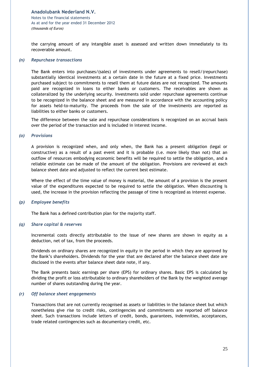Notes to the financial statements As at and for the year ended 31 December 2012 *(thousands of Euros)*

the carrying amount of any intangible asset is assessed and written down immediately to its recoverable amount.

#### *(n) Repurchase transactions*

The Bank enters into purchases/(sales) of investments under agreements to resell/(repurchase) substantially identical investments at a certain date in the future at a fixed price. Investments purchased subject to commitments to resell them at future dates are not recognized. The amounts paid are recognized in loans to either banks or customers. The receivables are shown as collateralized by the underlying security. Investments sold under repurchase agreements continue to be recognized in the balance sheet and are measured in accordance with the accounting policy for assets held-to-maturity. The proceeds from the sale of the investments are reported as liabilities to either banks or customers.

The difference between the sale and repurchase considerations is recognized on an accrual basis over the period of the transaction and is included in interest income.

#### *(o) Provisions*

A provision is recognized when, and only when, the Bank has a present obligation (legal or constructive) as a result of a past event and it is probable (i.e. more likely than not) that an outflow of resources embodying economic benefits will be required to settle the obligation, and a reliable estimate can be made of the amount of the obligation. Provisions are reviewed at each balance sheet date and adjusted to reflect the current best estimate.

Where the effect of the time value of money is material, the amount of a provision is the present value of the expenditures expected to be required to settle the obligation. When discounting is used, the increase in the provision reflecting the passage of time is recognized as interest expense.

#### *(p) Employee benefits*

The Bank has a defined contribution plan for the majority staff.

#### *(q) Share capital & reserves*

Incremental costs directly attributable to the issue of new shares are shown in equity as a deduction, net of tax, from the proceeds.

Dividends on ordinary shares are recognized in equity in the period in which they are approved by the Bank's shareholders. Dividends for the year that are declared after the balance sheet date are disclosed in the events after balance sheet date note, if any.

The Bank presents basic earnings per share (EPS) for ordinary shares. Basic EPS is calculated by dividing the profit or loss attributable to ordinary shareholders of the Bank by the weighted average number of shares outstanding during the year.

#### *(r) Off balance sheet engagements*

Transactions that are not currently recognised as assets or liabilities in the balance sheet but which nonetheless give rise to credit risks, contingencies and commitments are reported off balance sheet. Such transactions include letters of credit, bonds, guarantees, indemnities, acceptances, trade related contingencies such as documentary credit, etc.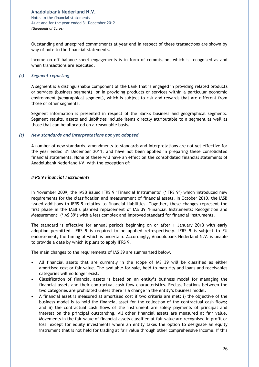Notes to the financial statements As at and for the year ended 31 December 2012 *(thousands of Euros)*

Outstanding and unexpired commitments at year end in respect of these transactions are shown by way of note to the financial statements.

Income on off balance sheet engagements is in form of commission, which is recognised as and when transactions are executed.

#### *(s) Segment reporting*

A segment is a distinguishable component of the Bank that is engaged in providing related products or services (business segment), or in providing products or services within a particular economic environment (geographical segment), which is subject to risk and rewards that are different from those of other segments.

Segment information is presented in respect of the Bank's business and geographical segments. Segment results, assets and liabilities include items directly attributable to a segment as well as those that can be allocated on a reasonable basis.

#### *(t) New standards and interpretations not yet adopted*

A number of new standards, amendments to standards and interpretations are not yet effective for the year ended 31 December 2011, and have not been applied in preparing these consolidated financial statements. None of these will have an effect on the consolidated financial statements of Anadolubank Nederland NV, with the exception of:

#### *IFRS 9 Financial Instruments*

In November 2009, the IASB issued IFRS 9 'Financial Instruments' ('IFRS 9') which introduced new requirements for the classification and measurement of financial assets. In October 2010, the IASB issued additions to IFRS 9 relating to financial liabilities. Together, these changes represent the first phase in the IASB's planned replacement of IAS 39 'Financial Instruments: Recognition and Measurement' ('IAS 39') with a less complex and improved standard for financial instruments.

The standard is effective for annual periods beginning on or after 1 January 2013 with early adoption permitted. IFRS 9 is required to be applied retrospectively. IFRS 9 is subject to EU endorsement, the timing of which is uncertain. Accordingly, Anadolubank Nederland N.V. is unable to provide a date by which it plans to apply IFRS 9.

The main changes to the requirements of IAS 39 are summarised below.

- All financial assets that are currently in the scope of IAS 39 will be classified as either amortised cost or fair value. The available-for-sale, held-to-maturity and loans and receivables categories will no longer exist.
- Classification of financial assets is based on an entity's business model for managing the financial assets and their contractual cash flow characteristics. Reclassifications between the two categories are prohibited unless there is a change in the entity's business model.
- A financial asset is measured at amortised cost if two criteria are met: i) the objective of the business model is to hold the financial asset for the collection of the contractual cash flows; and ii) the contractual cash flows of the instrument are solely payments of principal and interest on the principal outstanding. All other financial assets are measured at fair value. Movements in the fair value of financial assets classified at fair value are recognised in profit or loss, except for equity investments where an entity takes the option to designate an equity instrument that is not held for trading at fair value through other comprehensive income. If this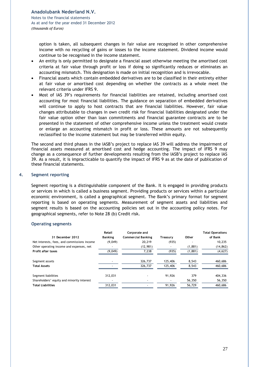Notes to the financial statements As at and for the year ended 31 December 2012 *(thousands of Euros)*

option is taken, all subsequent changes in fair value are recognised in other comprehensive income with no recycling of gains or losses to the income statement. Dividend income would continue to be recognised in the income statement.

- An entity is only permitted to designate a financial asset otherwise meeting the amortised cost criteria at fair value through profit or loss if doing so significantly reduces or eliminates an accounting mismatch. This designation is made on initial recognition and is irrevocable.
- Financial assets which contain embedded derivatives are to be classified in their entirety either at fair value or amortised cost depending on whether the contracts as a whole meet the relevant criteria under IFRS 9.
- Most of IAS 39's requirements for financial liabilities are retained, including amortised cost accounting for most financial liabilities. The guidance on separation of embedded derivatives will continue to apply to host contracts that are financial liabilities. However, fair value changes attributable to changes in own credit risk for financial liabilities designated under the fair value option other than loan commitments and financial guarantee contracts are to be presented in the statement of other comprehensive income unless the treatment would create or enlarge an accounting mismatch in profit or loss. These amounts are not subsequently reclassified to the income statement but may be transferred within equity.

The second and third phases in the IASB's project to replace IAS 39 will address the impairment of financial assets measured at amortised cost and hedge accounting. The impact of IFRS 9 may change as a consequence of further developments resulting from the IASB's project to replace IAS 39. As a result, it is impracticable to quantify the impact of IFRS 9 as at the date of publication of these financial statements.

#### **4. Segment reporting**

Segment reporting is a distinguishable component of the Bank. It is engaged in providing products or services in which is called a business segment. Providing products or services within a particular economic environment, is called a geographical segment. The Bank's primary format for segment reporting is based on operating segments. Measurement of segment assets and liabilities and segment results is based on the accounting policies set out in the accounting policy notes. For geographical segments, refer to Note 28 (b) Credit risk.

#### **Operating segments**

|                                             | Retail         | Corporate and             |          |         | <b>Total Operations</b> |
|---------------------------------------------|----------------|---------------------------|----------|---------|-------------------------|
| 31 December 2012                            | <b>Banking</b> | <b>Commercial Banking</b> | Treasury | Other   | of Bank                 |
| Net interests, fees, and commissions income | (9,049)        | 20,219                    | (935)    |         | 10.235                  |
| Other operating income and expenses, net    |                | (12, 981)                 |          | (1,881) | (14, 862)               |
| Profit after taxes                          | (9,049)        | 7,238                     | (935)    | (1,881) | (4,627)                 |
| Segment assets                              |                | 326,737                   | 125,406  | 8,543   | 460,686                 |
| <b>Total Assets</b>                         |                | 326,737                   | 125,406  | 8,543   | 460,686                 |
| Segment liabilities                         | 312,031        |                           | 91,926   | 379     | 404,336                 |
| Shareholders' equity and minority interest  |                |                           |          | 56,350  | 56,350                  |
| <b>Total Liabilities</b>                    | 312,031        |                           | 91,926   | 56,729  | 460,686                 |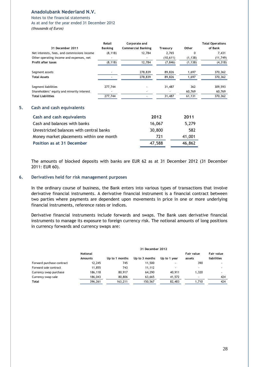Notes to the financial statements As at and for the year ended 31 December 2012

*(thousands of Euros)*

|                                             | Retail         | Corporate and             |           |          | <b>Total Operations</b> |
|---------------------------------------------|----------------|---------------------------|-----------|----------|-------------------------|
| 31 December 2011                            | <b>Banking</b> | <b>Commercial Banking</b> | Treasury  | Other    | of Bank                 |
| Net interests, fees, and commissions income | (8, 118)       | 12.784                    | 2.765     | 0        | 7,431                   |
| Other operating income and expenses, net    |                | $\overline{\phantom{a}}$  | (10, 611) | (1, 138) | (11, 749)               |
| Profit after taxes                          | (8, 118)       | 12,784                    | (7, 846)  | (1, 138) | (4, 318)                |
| Segment assets                              |                | 278,839                   | 89,826    | 1,697    | 370,362                 |
| <b>Total Assets</b>                         |                | 278,839                   | 89.826    | 1,697    | 370,362                 |
| Segment liabilities                         | 277,744        |                           | 31,487    | 362      | 309,593                 |
| Shareholders' equity and minority interest  |                |                           |           | 60,769   | 60,769                  |
| <b>Total Liabilities</b>                    | 277,744        |                           | 31,487    | 61,131   | 370,362                 |

#### **5. Cash and cash equivalents**

| Cash and cash equivalents                | 2012   | 2011   |
|------------------------------------------|--------|--------|
| Cash and balances with banks             | 16,067 | 5.279  |
| Unrestricted balances with central banks | 30,800 | 582    |
| Money market placements within one month | 721    | 41,001 |
| Position as at 31 December               | 47,588 | 46,862 |

The amounts of blocked deposits with banks are EUR 62 as at 31 December 2012 (31 December 2011: EUR 60).

#### **6. Derivatives held for risk management purposes**

In the ordinary course of business, the Bank enters into various types of transactions that involve derivative financial instruments. A derivative financial instrument is a financial contract between two parties where payments are dependent upon movements in price in one or more underlying financial instruments, reference rates or indices.

Derivative financial instruments include forwards and swaps. The Bank uses derivative financial instruments to manage its exposure to foreign currency risk. The notional amounts of long positions in currency forwards and currency swaps are:

|                           |                            |                | 31 December 2012 |              |                          |                           |
|---------------------------|----------------------------|----------------|------------------|--------------|--------------------------|---------------------------|
|                           | <b>Notional</b><br>Amounts | Up to 1 months | Up to 3 months   | Up to 1 year | Fair value<br>assets     | Fair value<br>liabilities |
| Forward purchase contract | 12.245                     | 745            | 11.500           |              | 390                      |                           |
| Forward sale contract     | 11,855                     | 743            | 11.112           |              |                          |                           |
| Currency swap purchase    | 186,118                    | 80.917         | 64.290           | 40,911       | 1.320                    |                           |
| Currency swap sale        | 186,043                    | 80.806         | 63.665           | 41,572       | $\overline{\phantom{a}}$ | 424                       |
| Total                     | 396,261                    | 163,211        | 150,567          | 82,483       | 1.710                    | 424                       |
|                           |                            |                |                  |              |                          |                           |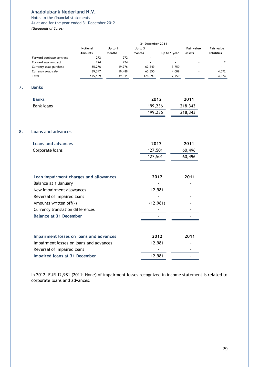**7. Banks**

Notes to the financial statements As at and for the year ended 31 December 2012 *(thousands of Euros)*

|    |                                                                       |                 |            | 31 December 2011 |              |                   |                         |
|----|-----------------------------------------------------------------------|-----------------|------------|------------------|--------------|-------------------|-------------------------|
|    |                                                                       | <b>Notional</b> | Up to 1    | Up to 3          |              | <b>Fair value</b> | Fair value              |
|    |                                                                       | <b>Amounts</b>  | months     | months           | Up to 1 year | assets            | liabilities             |
|    | Forward purchase contract                                             | 272             | 272<br>274 |                  |              |                   |                         |
|    | Forward sale contract<br>Currency swap purchase                       | 274<br>85,276   | 19,276     | 62,249           |              | 3,750             | $\overline{\mathbf{2}}$ |
|    | Currency swap sale                                                    | 89,347          | 19,489     | 65,850           |              | 4,009             | 4,072                   |
|    | <b>Total</b>                                                          | 175,169         | 39,311     | 128,099          |              | 7,759             | 4,074                   |
| 7. | <b>Banks</b>                                                          |                 |            |                  |              |                   |                         |
|    | <b>Banks</b>                                                          |                 |            |                  | 2012         | 2011              |                         |
|    | <b>Bank loans</b>                                                     |                 |            |                  | 199,236      | 218,343           |                         |
|    |                                                                       |                 |            |                  | 199,236      | 218,343           |                         |
| 8. | <b>Loans and advances</b>                                             |                 |            |                  |              |                   |                         |
|    | <b>Loans and advances</b>                                             |                 |            |                  | 2012         | 2011              |                         |
|    | Corporate loans                                                       |                 |            |                  | 127,501      | 60,496            |                         |
|    |                                                                       |                 |            |                  | 127,501      | 60,496            |                         |
|    |                                                                       |                 |            |                  |              |                   |                         |
|    | Loan impairment charges and allowances                                |                 |            |                  | 2012         | 2011              |                         |
|    | Balance at 1 January                                                  |                 |            |                  |              |                   |                         |
|    | New impairment allowances                                             |                 |            |                  | 12,981       |                   |                         |
|    | Reversal of impaired loans                                            |                 |            |                  |              |                   |                         |
|    | Amounts written off(-)                                                |                 |            |                  | (12, 981)    |                   |                         |
|    | Currency translation differences                                      |                 |            |                  |              |                   |                         |
|    | <b>Balance at 31 December</b>                                         |                 |            |                  |              |                   |                         |
|    |                                                                       |                 |            |                  |              |                   |                         |
|    | Impairment losses on loans and advances                               |                 |            |                  | 2012         | 2011              |                         |
|    |                                                                       |                 |            |                  |              |                   |                         |
|    | Impairment losses on loans and advances<br>Reversal of impaired loans |                 |            |                  | 12,981       |                   |                         |
|    |                                                                       |                 |            |                  |              |                   |                         |
|    | Impaired loans at 31 December                                         |                 |            |                  | 12,981       |                   |                         |

In 2012, EUR 12,981 (2011: None) of impairment losses recognized in income statement is related to corporate loans and advances.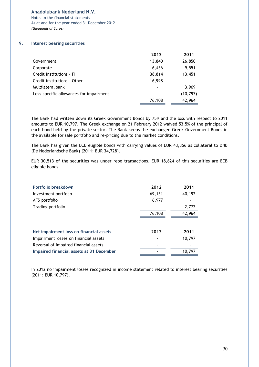Notes to the financial statements As at and for the year ended 31 December 2012 *(thousands of Euros)*

#### **9. Interest bearing securities**

|                                         | 2012   | 2011      |
|-----------------------------------------|--------|-----------|
| Government                              | 13,840 | 26,850    |
| Corporate                               | 6,456  | 9,551     |
| Credit institutions - FI                | 38,814 | 13,451    |
| Credit institutions - Other             | 16,998 |           |
| Multilateral bank                       |        | 3,909     |
| Less specific allowances for impairment |        | (10, 797) |
|                                         | 76,108 | 42,964    |

The Bank had written down its Greek Government Bonds by 75% and the loss with respect to 2011 amounts to EUR 10,797. The Greek exchange on 21 February 2012 waived 53.5% of the principal of each bond held by the private sector. The Bank keeps the exchanged Greek Government Bonds in the available for sale portfolio and re-pricing due to the market conditions.

The Bank has given the ECB eligible bonds with carrying values of EUR 43,356 as collateral to DNB (De Nederlandsche Bank) (2011: EUR 34,728).

EUR 30,513 of the securities was under repo transactions, EUR 18,624 of this securities are ECB eligible bonds.

| Portfolio breakdown                      | 2012   | 2011   |
|------------------------------------------|--------|--------|
| Investment portfolio                     | 69,131 | 40,192 |
| AFS portfolio                            | 6,977  |        |
| Trading portfolio                        |        | 2,772  |
|                                          | 76,108 | 42,964 |
|                                          |        |        |
| Net impairment loss on financial assets  | 2012   | 2011   |
| Impairment losses on financial assets    |        | 10,797 |
| Reversal of impaired financial assets    |        |        |
| Impaired financial assets at 31 December |        | 10,797 |

In 2012 no impairment losses recognized in income statement related to interest bearing securities (2011: EUR 10,797).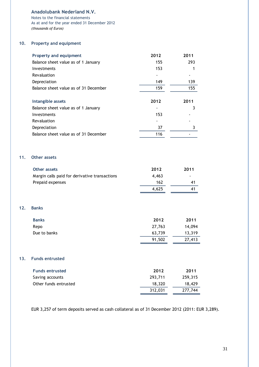Notes to the financial statements As at and for the year ended 31 December 2012 *(thousands of Euros)*

## **10. Property and equipment**

**11. Other assets**

**12. Banks**

**13. Funds entrusted**

| <b>Property and equipment</b>                 | 2012    | 2011    |
|-----------------------------------------------|---------|---------|
| Balance sheet value as of 1 January           | 155     | 293     |
| Investments                                   | 153     | 1       |
| Revaluation                                   |         |         |
| Depreciation                                  | 149     | 139     |
| Balance sheet value as of 31 December         | 159     | 155     |
|                                               |         |         |
| Intangible assets                             | 2012    | 2011    |
| Balance sheet value as of 1 January           |         | 3       |
| Investments                                   | 153     |         |
| Revaluation                                   |         |         |
| Depreciation                                  | 37      | 3       |
| Balance sheet value as of 31 December         | 116     |         |
| <b>Other assets</b>                           |         |         |
|                                               |         |         |
| Other assets                                  | 2012    | 2011    |
| Margin calls paid for derivative transactions | 4,463   |         |
| Prepaid expenses                              | 162     | 41      |
|                                               | 4,625   | 41      |
| <b>Banks</b>                                  |         |         |
| <b>Banks</b>                                  | 2012    | 2011    |
| Repo                                          | 27,763  | 14,094  |
| Due to banks                                  | 63,739  | 13,319  |
|                                               | 91,502  | 27,413  |
|                                               |         |         |
| <b>Funds entrusted</b>                        |         |         |
| <b>Funds entrusted</b>                        | 2012    | 2011    |
| Saving accounts                               | 293,711 | 259,315 |
| Other funds entrusted                         | 18,320  | 18,429  |
|                                               | 312,031 | 277,744 |

EUR 3,257 of term deposits served as cash collateral as of 31 December 2012 (2011: EUR 3,289).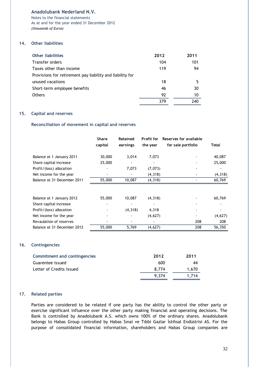Notes to the financial statements As at and for the year ended 31 December 2012 *(thousands of Euros)*

## **14. Other liabilities**

| <b>Other liabilities</b>                                  | 2012 | 2011 |
|-----------------------------------------------------------|------|------|
| Transfer orders                                           | 104  | 101  |
| Taxes other than income                                   | 119  | 94   |
| Provisions for retirement pay liability and liability for |      |      |
| unused vacations                                          | 18   | 5    |
| Short-term employee benefits                              | 46   | 30   |
| <b>Others</b>                                             | 92   | 10   |
|                                                           | 379  | 240  |

## **15. Capital and reserves**

## **Reconciliation of movement in capital and reserves**

|                             | <b>Share</b><br>capital | <b>Retained</b><br>earnings | Profit for<br>the year | Reserves for available<br>for sale portfolio | Total    |
|-----------------------------|-------------------------|-----------------------------|------------------------|----------------------------------------------|----------|
| Balance at 1 January 2011   | 30,000                  | 3,014                       | 7,073                  |                                              | 40,087   |
| Share capital increase      | 25,000                  |                             |                        |                                              | 25,000   |
| Profit/(loss) allocation    |                         | 7,073                       | (7,073)                |                                              |          |
| Net income for the year     |                         |                             | (4,318)                |                                              | (4, 318) |
| Balance at 31 December 2011 | 55,000                  | 10,087                      | (4, 318)               |                                              | 60,769   |
|                             |                         |                             |                        |                                              |          |
| Balance at 1 January 2012   | 55,000                  | 10,087                      | (4, 318)               |                                              | 60,769   |
| Share capital increase      |                         |                             |                        |                                              |          |
| Profit/(loss) allocation    |                         | (4,318)                     | 4,318                  |                                              |          |
| Net income for the year     |                         |                             | (4,627)                |                                              | (4,627)  |
| Revaulation of reserves     |                         |                             |                        | 208                                          | 208      |
| Balance at 31 December 2012 | 55,000                  | 5,769                       | (4,627)                | 208                                          | 56,350   |

#### **16. Contingencies**

| <b>Commitment and contingencies</b> | 2012  | 2011  |
|-------------------------------------|-------|-------|
| Guarentee issued                    | 600   | 44    |
| Letter of Credits Issued            | 8.774 | 1.670 |
|                                     | 9.374 | 1.714 |

## **17. Related parties**

Parties are considered to be related if one party has the ability to control the other party or exercise significant influence over the other party making financial and operating decisions. The Bank is controlled by Anadolubank A.S. which owns 100% of the ordinary shares. Anadolubank belongs to Habas Group controlled by Habas Sınai ve Tıbbi Gazlar İstihsal Endüstrisi AS. For the purpose of consolidated financial information, shareholders and Habas Group companies are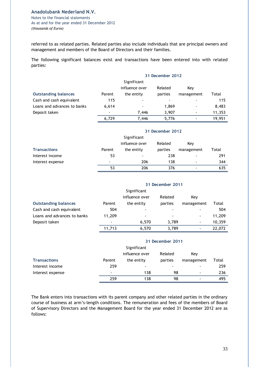Notes to the financial statements As at and for the year ended 31 December 2012 *(thousands of Euros)*

referred to as related parties. Related parties also include individuals that are principal owners and management and members of the Board of Directors and their families.

The following significant balances exist and transactions have been entered into with related parties:

|                             | 31 December 2012 |                          |                |                |        |
|-----------------------------|------------------|--------------------------|----------------|----------------|--------|
|                             |                  | Significant              |                |                |        |
|                             |                  | influence over           | Related        | Kev            |        |
| <b>Outstanding balances</b> | Parent           | the entity               | parties        | management     | Total  |
| Cash and cash equivalent    | 115              |                          | $\blacksquare$ | $\blacksquare$ | 115    |
| Loans and advances to banks | 6,614            | $\overline{\phantom{a}}$ | 1,869          | $\blacksquare$ | 8,483  |
| Deposit taken               | $\blacksquare$   | 7,446                    | 3,907          | $\blacksquare$ | 11,353 |
|                             | 6,729            | 7,446                    | 5,776          | $\blacksquare$ | 19.951 |

|                     |                | Significant    |         |                |       |
|---------------------|----------------|----------------|---------|----------------|-------|
|                     |                | influence over | Related | Kev            |       |
| <b>Transactions</b> | Parent         | the entity     | parties | management     | Total |
| Interest income     | 53             |                | 238     | $\blacksquare$ | 291   |
| Interest expense    | $\blacksquare$ | 206            | 138     | $\blacksquare$ | 344   |
|                     | 53             | 206            | 376     | $\blacksquare$ | 635   |

 **31 December 2012**

 **31 December 2011**

|                             |        | Significant    |                |            |        |
|-----------------------------|--------|----------------|----------------|------------|--------|
|                             |        | influence over | Related        | Kev        |        |
| <b>Outstanding balances</b> | Parent | the entity     | parties        | management | Total  |
| Cash and cash equivalent    | 504    | -              | $\blacksquare$ |            | 504    |
| Loans and advances to banks | 11.209 |                | $\blacksquare$ |            | 11,209 |
| Deposit taken               |        | 6.570          | 3,789          |            | 10,359 |
|                             | 11.713 | 6,570          | 3.789          |            | 22,072 |

|                     |                | 31 December 2011 |                          |                          |       |  |  |  |
|---------------------|----------------|------------------|--------------------------|--------------------------|-------|--|--|--|
|                     |                | Significant      |                          |                          |       |  |  |  |
|                     |                | influence over   | Related                  | Kev                      |       |  |  |  |
| <b>Transactions</b> | Parent         | the entity       | parties                  | management               | Total |  |  |  |
| Interest income     | 259            | $\blacksquare$   | $\overline{\phantom{a}}$ |                          | 259   |  |  |  |
| Interest expense    | $\blacksquare$ | 138              | 98                       |                          | 236   |  |  |  |
|                     | 259            | 138              | 98                       | $\overline{\phantom{0}}$ | 495   |  |  |  |

The Bank enters into transactions with its parent company and other related parties in the ordinary course of business at arm's-length conditions. The remuneration and fees of the members of Board of Supervisory Directors and the Management Board for the year ended 31 December 2012 are as follows: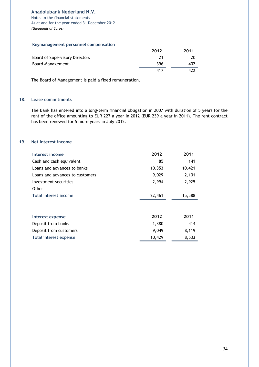Notes to the financial statements As at and for the year ended 31 December 2012 *(thousands of Euros)*

#### **Keymanagement personnel compensation**

|                                       | 2012 | 2011 |
|---------------------------------------|------|------|
| <b>Board of Supervisory Directors</b> | 21   | 20   |
| Board Management                      | 396  | 402  |
|                                       | 417  | 422  |
|                                       |      |      |

The Board of Management is paid a fixed remuneration.

#### **18. Lease commitments**

The Bank has entered into a long-term financial obligation in 2007 with duration of 5 years for the rent of the office amounting to EUR 227 a year in 2012 (EUR 239 a year in 2011). The rent contract has been renewed for 5 more years in July 2012.

#### **19. Net interest income**

| Interest income                 | 2012   | 2011   |
|---------------------------------|--------|--------|
| Cash and cash equivalent        | 85     | 141    |
| Loans and advances to banks     | 10,353 | 10,421 |
| Loans and advances to customers | 9,029  | 2,101  |
| Investment securities           | 2,994  | 2,925  |
| Other                           |        |        |
| Total interest income           | 22,461 | 15,588 |
|                                 |        |        |
| Interest expense                | 2012   | 2011   |
| Deposit from banks              | 1,380  | 414    |
| Deposit from customers          | 9,049  | 8,119  |
| Total interest expense          | 10,429 | 8,533  |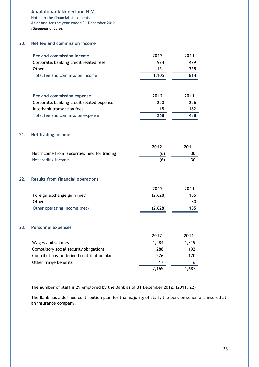Notes to the financial statements As at and for the year ended 31 December 2012 *(thousands of Euros)*

## **20. Net fee and commission income**

 $21.$ 

**23. Personnel expenses**

|     | Fee and commission income                   | 2012    | 2011  |
|-----|---------------------------------------------|---------|-------|
|     | Corporate/banking credit related fees       | 974     | 479   |
|     | Other                                       | 131     | 335   |
|     | Total fee and commission income             | 1,105   | 814   |
|     |                                             |         |       |
|     | Fee and commission expense                  | 2012    | 2011  |
|     | Corporate/banking credit related expense    | 250     | 256   |
|     | Interbank transaction fees                  | 18      | 182   |
|     | Total fee and commission expense            | 268     | 438   |
| 21. | Net trading income                          |         |       |
|     |                                             | 2012    | 2011  |
|     | Net income from securities held for trading | (6)     | 30    |
|     | Net trading income                          | (6)     | 30    |
| 22. | <b>Results from financial operations</b>    |         |       |
|     |                                             | 2012    | 2011  |
|     | Foreign exchange gain (net)                 | (2,628) | 155   |
|     | Other                                       |         | 30    |
|     | Other operating income (net)                | (2,628) | 185   |
| 23. | <b>Personnel expenses</b>                   |         |       |
|     |                                             | 2012    | 2011  |
|     | Wages and salaries                          | 1,584   | 1,319 |
|     | Compulsory social security obligations      | 288     | 192   |
|     | Contributions to defined contribution plans | 276     | 170   |
|     | Other fringe benefits                       | 17      | 6     |
|     |                                             | 2,165   | 1,687 |

The number of staff is 29 employed by the Bank as of 31 December 2012. (2011; 22)

The Bank has a defined contribution plan for the majority of staff; the pension scheme is insured at an insurance company.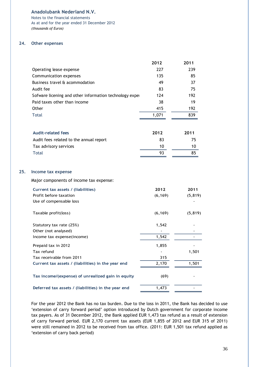Notes to the financial statements As at and for the year ended 31 December 2012 *(thousands of Euros)*

#### **24. Other expenses**

**25.** 

|                                                                                                                                                                                                                                                                                                                                                                                                                                                                                            | 2012     | 2011     |
|--------------------------------------------------------------------------------------------------------------------------------------------------------------------------------------------------------------------------------------------------------------------------------------------------------------------------------------------------------------------------------------------------------------------------------------------------------------------------------------------|----------|----------|
| Operating lease expense                                                                                                                                                                                                                                                                                                                                                                                                                                                                    | 227      | 239      |
| Communication expenses                                                                                                                                                                                                                                                                                                                                                                                                                                                                     | 135      | 85       |
| Business travel & acommodation                                                                                                                                                                                                                                                                                                                                                                                                                                                             | 49       | 37       |
| Audit fee                                                                                                                                                                                                                                                                                                                                                                                                                                                                                  | 83       | 75       |
| Sofware licening and other information technology exper                                                                                                                                                                                                                                                                                                                                                                                                                                    | 124      | 192      |
| Paid taxes other than income                                                                                                                                                                                                                                                                                                                                                                                                                                                               | 38       | 19       |
| Other                                                                                                                                                                                                                                                                                                                                                                                                                                                                                      | 415      | 192      |
| <b>Total</b>                                                                                                                                                                                                                                                                                                                                                                                                                                                                               | 1,071    | 839      |
| <b>Audit-related fees</b>                                                                                                                                                                                                                                                                                                                                                                                                                                                                  | 2012     | 2011     |
|                                                                                                                                                                                                                                                                                                                                                                                                                                                                                            |          |          |
| Audit fees related to the annual report                                                                                                                                                                                                                                                                                                                                                                                                                                                    | 83<br>10 | 75<br>10 |
| Tax advisory services<br><b>Total</b>                                                                                                                                                                                                                                                                                                                                                                                                                                                      | 93       |          |
|                                                                                                                                                                                                                                                                                                                                                                                                                                                                                            |          | 85       |
| Income tax expense                                                                                                                                                                                                                                                                                                                                                                                                                                                                         |          |          |
| Major components of income tax expense:                                                                                                                                                                                                                                                                                                                                                                                                                                                    |          |          |
| Current tax assets / (liabilities)                                                                                                                                                                                                                                                                                                                                                                                                                                                         | 2012     | 2011     |
| Profit before taxation                                                                                                                                                                                                                                                                                                                                                                                                                                                                     | (6, 169) | (5, 819) |
| Use of compensable loss                                                                                                                                                                                                                                                                                                                                                                                                                                                                    |          |          |
| Taxable profit(loss)                                                                                                                                                                                                                                                                                                                                                                                                                                                                       | (6, 169) | (5, 819) |
| Statutory tax rate (25%)                                                                                                                                                                                                                                                                                                                                                                                                                                                                   | 1,542    |          |
| Other (not analysed)                                                                                                                                                                                                                                                                                                                                                                                                                                                                       |          |          |
| Income tax expense(income)                                                                                                                                                                                                                                                                                                                                                                                                                                                                 | 1,542    |          |
| Prepaid tax in 2012                                                                                                                                                                                                                                                                                                                                                                                                                                                                        | 1,855    |          |
| Tax refund                                                                                                                                                                                                                                                                                                                                                                                                                                                                                 |          | 1,501    |
| Tax receivable from 2011                                                                                                                                                                                                                                                                                                                                                                                                                                                                   | 315      |          |
| Current tax assets / (liabilities) in the year end                                                                                                                                                                                                                                                                                                                                                                                                                                         | 2,170    | 1,501    |
| Tax income/(expense) of unrealized gain in equity                                                                                                                                                                                                                                                                                                                                                                                                                                          | (69)     |          |
| Deferred tax assets / (liabilities) in the year end                                                                                                                                                                                                                                                                                                                                                                                                                                        | 1,473    |          |
| For the year 2012 the Bank has no tax burden. Due to the loss in 2011, the Bank has de<br>'extension of carry forward period' option introduced by Dutch government for corpo<br>tax payers. As of 31 December 2012, the Bank applied EUR 1,473 tax refund as a result<br>of carry forward period. EUR 2,170 current tax assets (EUR 1,855 of 2012 and EUR 1<br>were still remained in 2012 to be received from tax office. (2011: EUR 1,501 tax refur<br>'extension of carry back period) |          |          |

For the year 2012 the Bank has no tax burden. Due to the loss in 2011, the Bank has decided to use 'extension of carry forward period' option introduced by Dutch government for corporate income tax payers. As of 31 December 2012, the Bank applied EUR 1,473 tax refund as a result of extension of carry forward period. EUR 2,170 current tax assets (EUR 1,855 of 2012 and EUR 315 of 2011) were still remained in 2012 to be received from tax office. (2011: EUR 1,501 tax refund applied as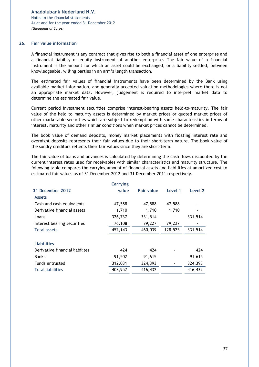Notes to the financial statements As at and for the year ended 31 December 2012 *(thousands of Euros)*

## **26. Fair value information**

A financial instrument is any contract that gives rise to both a financial asset of one enterprise and a financial liability or equity instrument of another enterprise. The fair value of a financial instrument is the amount for which an asset could be exchanged, or a liability settled, between knowledgeable, willing parties in an arm's length transaction.

The estimated fair values of financial instruments have been determined by the Bank using available market information, and generally accepted valuation methodologies where there is not an appropriate market data. However, judgement is required to interpret market data to determine the estimated fair value.

Current period investment securities comprise interest-bearing assets held-to-maturity. The fair value of the held to maturity assets is determined by market prices or quoted market prices of other marketable securities which are subject to redemption with same characteristics in terms of interest, maturity and other similar conditions when market prices cannot be determined.

The book value of demand deposits, money market placements with floating interest rate and overnight deposits represents their fair values due to their short-term nature. The book value of the sundry creditors reflects their fair values since they are short-term.

The fair value of loans and advances is calculated by determining the cash flows discounted by the current interest rates used for receivables with similar characteristics and maturity structure. The following table compares the carrying amount of financial assets and liabilities at amortized cost to estimated fair values as of 31 December 2012 and 31 December 2011 respectively.

| <b>Carrying</b> |                   |         |         |
|-----------------|-------------------|---------|---------|
| value           | <b>Fair value</b> | Level 1 | Level 2 |
|                 |                   |         |         |
| 47,588          | 47,588            | 47,588  |         |
| 1,710           | 1,710             | 1,710   |         |
| 326,737         | 331,514           |         | 331,514 |
| 76,108          | 79,227            | 79,227  |         |
| 452,143         | 460,039           | 128,525 | 331,514 |
|                 |                   |         |         |
|                 |                   |         |         |
| 424             | 424               |         | 424     |
| 91,502          | 91,615            |         | 91,615  |
| 312,031         | 324,393           |         | 324,393 |
| 403,957         | 416,432           |         | 416,432 |
|                 |                   |         |         |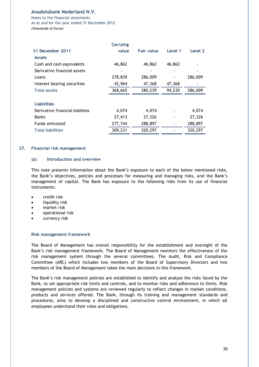Notes to the financial statements As at and for the year ended 31 December 2012 *(thousands of Euros)*

|                                 | Carrying |                   |         |         |
|---------------------------------|----------|-------------------|---------|---------|
| 31 December 2011                | value    | <b>Fair value</b> | Level 1 | Level 2 |
| <b>Assets</b>                   |          |                   |         |         |
| Cash and cash equivalents       | 46,862   | 46,862            | 46,862  |         |
| Derivative financial assets     |          |                   |         |         |
| Loans                           | 278,839  | 286,009           |         | 286,009 |
| Interest bearing securities     | 42,964   | 47,368            | 47,368  |         |
| <b>Total assets</b>             | 368,665  | 380,239           | 94,230  | 286,009 |
|                                 |          |                   |         |         |
| <b>Liabilities</b>              |          |                   |         |         |
| Derivative financial liabilites | 4,074    | 4,074             |         | 4,074   |
| <b>Banks</b>                    | 27,413   | 27,326            |         | 27,326  |
| <b>Funds entrusted</b>          | 277,744  | 288,897           |         | 288,897 |
| <b>Total liabilities</b>        | 309,231  | 320,297           |         | 320,297 |
|                                 |          |                   |         |         |

#### **27. Financial risk management**

#### **(a) Introduction and overview**

This note presents information about the Bank's exposure to each of the below mentioned risks, the Bank's objectives, policies and processes for measuring and managing risks, and the Bank's management of capital. The Bank has exposure to the following risks from its use of financial instruments:

- credit risk
- liquidity risk
- market risk
- operational risk
- currency risk

#### **Risk management framework**

The Board of Management has overall responsibility for the establishment and oversight of the Bank's risk management framework. The Board of Management monitors the effectiveness of the risk management system through the several committees. The Audit, Risk and Compliance Committee (ARC) which includes two members of the Board of Supervisory Directors and two members of the Board of Management takes the main decisions in this framework.

The Bank's risk management policies are established to identify and analyse the risks faced by the Bank, to set appropriate risk limits and controls, and to monitor risks and adherence to limits. Risk management policies and systems are reviewed regularly to reflect changes in market conditions, products and services offered. The Bank, through its training and management standards and procedures, aims to develop a disciplined and constructive control environment, in which all employees understand their roles and obligations.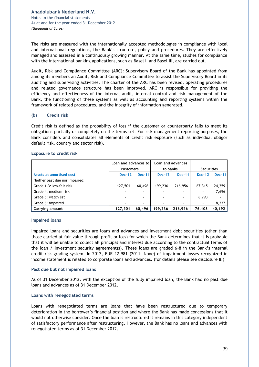**Anadolubank Nederland N.V.** Notes to the financial statements As at and for the year ended 31 December 2012 *(thousands of Euros)*

The risks are measured with the internationally accepted methodologies in compliance with local and international regulations, the Bank's structure, policy and procedures. They are effectively managed and assessed in a continuously growing manner. At the same time, studies for compliance with the international banking applications, such as Basel II and Basel III, are carried out.

Audit, Risk and Compliance Committee (ARC): Supervisory Board of the Bank has appointed from among its members an Audit, Risk and Compliance Committee to assist the Supervisory Board in its auditing and supervising activities. The charter of the ARC has been revised, operating procedures and related governance structure has been improved. ARC is responsible for providing the efficiency and effectiveness of the internal audit, internal control and risk management of the Bank, the functioning of these systems as well as accounting and reporting systems within the framework of related procedures, and the integrity of information generated.

#### **(b) Credit risk**

Credit risk is defined as the probability of loss if the customer or counterparty fails to meet its obligations partially or completely on the terms set. For risk management reporting purposes, the Bank considers and consolidates all elements of credit risk exposure (such as individual obligor default risk, country and sector risk).

#### **Exposure to credit risk**

|                                | Loan and advances to<br>customers |          | Loan and advances<br>to banks |                          | <b>Securities</b>        |          |
|--------------------------------|-----------------------------------|----------|-------------------------------|--------------------------|--------------------------|----------|
| Assets at amortised cost       | $Dec-12$                          | $Dec-11$ | $Dec-12$                      | $Dec-11$                 | $Dec-12$                 | $Dec-11$ |
| Neither past due nor impaired: |                                   |          |                               |                          |                          |          |
| Grade 1-3: low-fair risk       | 127,501                           | 60,496   | 199.236                       | 216,956                  | 67,315                   | 24,259   |
| Grade 4: medium risk           |                                   |          |                               |                          |                          | 7,696    |
| Grade 5: watch list            |                                   |          | $\blacksquare$                | $\overline{\phantom{0}}$ | 8,793                    |          |
| Grade 6: impaired              |                                   |          | $\overline{\phantom{0}}$      |                          | $\overline{\phantom{a}}$ | 8,237    |
| Carrying amount                | 127.501                           | 60.496   | 199.236                       | 216.956                  | 76.108                   | 40.192   |

**Impaired loans**

Impaired loans and securities are loans and advances and investment debt securities (other than those carried at fair value through profit or loss) for which the Bank determines that it is probable that it will be unable to collect all principal and interest due according to the contractual terms of the loan / investment security agreement(s). These loans are graded 6-8 in the Bank's internal credit risk grading system. In 2012, EUR 12,981 (2011: None) of impairment losses recognized in income statement is related to corporate loans and advances. (for details please see disclosure 8.)

#### **Past due but not impaired loans**

As of 31 December 2012, with the exception of the fully impaired loan, the Bank had no past due loans and advances as of 31 December 2012.

#### **Loans with renegotiated terms**

Loans with renegotiated terms are loans that have been restructured due to temporary deterioration in the borrower's financial position and where the Bank has made concessions that it would not otherwise consider. Once the loan is restructured it remains in this category independent of satisfactory performance after restructuring. However, the Bank has no loans and advances with renegotiated terms as of 31 December 2012.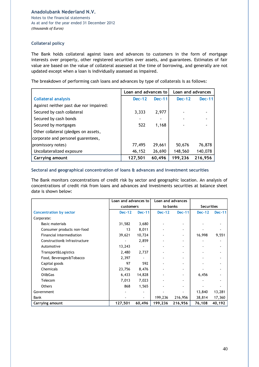Notes to the financial statements As at and for the year ended 31 December 2012 *(thousands of Euros)*

## **Collateral policy**

The Bank holds collateral against loans and advances to customers in the form of mortgage interests over property, other registered securities over assets, and guarantees. Estimates of fair value are based on the value of collateral assessed at the time of borrowing, and generally are not updated except when a loan is individually assessed as impaired.

The breakdown of performing cash loans and advances by type of collaterals is as follows:

|                                        | Loan and advances to |          | Loan and advances |               |  |
|----------------------------------------|----------------------|----------|-------------------|---------------|--|
| <b>Collateral analysis</b>             | <b>Dec-12</b>        | $Dec-11$ | <b>Dec-12</b>     | <b>Dec-11</b> |  |
| Against neither past due nor impaired: |                      |          |                   |               |  |
| Secured by cash collateral             | 3,333                | 2,977    |                   |               |  |
| Secured by cash bonds                  |                      |          |                   |               |  |
| Secured by mortgages                   | 522                  | 1,168    |                   |               |  |
| Other collateral (pledges on assets,   |                      |          |                   |               |  |
| corporate and personel guarentees,     |                      |          |                   |               |  |
| promissory notes)                      | 77,495               | 29,661   | 50,676            | 76,878        |  |
| Uncollateralized exposure              | 46,152               | 26,690   | 148,560           | 140,078       |  |
| Carrying amount                        | 127,501              | 60,496   | 199,236           | 216,956       |  |

#### **Sectoral and geographical concentration of loans & advances and investment securities**

The Bank monitors concentrations of credit risk by sector and geographic location. An analysis of concentrations of credit risk from loans and advances and investments securities at balance sheet date is shown below:

|                                | Loan and advances to |               |               | Loan and advances |                   |               |
|--------------------------------|----------------------|---------------|---------------|-------------------|-------------------|---------------|
|                                | customers            |               | to banks      |                   | <b>Securities</b> |               |
| <b>Concentration by sector</b> | <b>Dec-12</b>        | <b>Dec-11</b> | <b>Dec-12</b> | <b>Dec-11</b>     | <b>Dec-12</b>     | <b>Dec-11</b> |
| Corporate:                     |                      |               |               |                   |                   |               |
| Basic materials                | 31,582               | 3,680         |               |                   |                   |               |
| Consumer products non-food     | 13                   | 8,011         |               |                   |                   |               |
| Financial intermediation       | 39,621               | 10,724        |               |                   | 16,998            | 9,551         |
| Construction& Infrastructure   |                      | 2,859         |               |                   |                   |               |
| Automotive                     | 13,243               |               |               |                   |                   |               |
| <b>Transport&amp;Logistics</b> | 2,480                | 2,737         |               |                   |                   |               |
| Food, Beverages&Tobacco        | 2,397                |               |               |                   |                   |               |
| Capital goods                  | 97                   | 592           |               |                   |                   |               |
| Chemicals                      | 23,756               | 8,476         |               |                   |                   |               |
| <b>Oil&amp;Gas</b>             | 6,433                | 14,828        |               |                   | 6,456             |               |
| Telecom                        | 7,013                | 7,023         |               |                   |                   |               |
| Others                         | 868                  | 1,565         |               |                   |                   |               |
| Government                     |                      |               |               |                   | 13,840            | 13,281        |
| Bank                           |                      |               | 199,236       | 216,956           | 38,814            | 17,360        |
| Carrying amount                | 127,501              | 60,496        | 199,236       | 216,956           | 76,108            | 40,192        |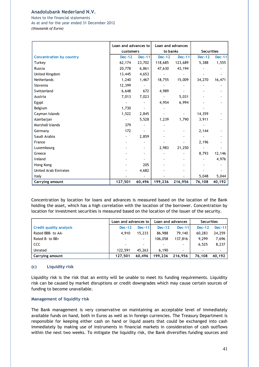Notes to the financial statements As at and for the year ended 31 December 2012 *(thousands of Euros)*

|                                 | Loan and advances to |                          |               | Loan and advances |                   |               |
|---------------------------------|----------------------|--------------------------|---------------|-------------------|-------------------|---------------|
|                                 | customers            |                          | to banks      |                   | <b>Securities</b> |               |
| <b>Concentration by country</b> | <b>Dec-12</b>        | <b>Dec-11</b>            | <b>Dec-12</b> | <b>Dec-11</b>     | <b>Dec-12</b>     | <b>Dec-11</b> |
| Turkey                          | 62,174               | 23,702                   | 118,685       | 123,689           | 5,388             | 1,555         |
| <b>Russia</b>                   | 20,778               | 6,861                    | 47,630        | 43,194            |                   |               |
| United Kingdom                  | 13,445               | 4,653                    |               |                   |                   |               |
| Netherlands                     | 1,240                | 1,467                    | 18,755        | 15,009            | 34,270            | 16,471        |
| Slovenia                        | 12,399               | $\overline{\phantom{a}}$ |               |                   |                   |               |
| Switzerland                     | 6,648                | 672                      | 4,989         |                   |                   |               |
| Austria                         | 7,013                | 7,023                    |               | 5,031             |                   |               |
| Egypt                           |                      |                          | 4,954         | 6,994             |                   |               |
| Belgium                         | 1,730                |                          |               |                   |                   |               |
| Cayman Islands                  | 1,522                | 2,845                    |               |                   | 14,359            |               |
| Azerbaijan                      |                      | 5,528                    | 1,239         | 1,790             | 3,911             |               |
| Marshall Islands                | 379                  |                          |               |                   |                   |               |
| Germany                         | 172                  |                          |               |                   | 2,144             |               |
| Saudi Arabia                    |                      | 2,859                    |               |                   |                   |               |
| France                          |                      |                          |               |                   | 2,196             |               |
| Luxembourg                      |                      |                          | 2,983         | 21,250            |                   |               |
| Greece                          |                      |                          |               |                   | 8,793             | 12,146        |
| Ireland                         |                      |                          |               |                   |                   | 4,976         |
| Hong Kong                       |                      | 205                      |               |                   |                   |               |
| <b>United Arab Emirates</b>     |                      | 4,682                    |               |                   |                   |               |
| Italy                           |                      |                          |               |                   | 5,048             | 5,044         |
| Carrying amount                 | 127,501              | 60,496                   | 199,236       | 216,956           | 76,108            | 40,192        |

Concentration by location for loans and advances is measured based on the location of the Bank holding the asset, which has a high correlation with the location of the borrower. Concentration by location for investment securities is measured based on the location of the issuer of the security.

|                                | Loan and advances to |                          | Loan and advances |                          | <b>Securities</b>        |          |
|--------------------------------|----------------------|--------------------------|-------------------|--------------------------|--------------------------|----------|
| <b>Credit quality analysis</b> | Dec-12               | $Dec-11$                 | <b>Dec-12</b>     | $Dec-11$                 | $Dec-12$                 | $Dec-11$ |
| Rated BBB- to AA-              | 4.910                | 15.233                   | 86,988            | 79,140                   | 60.283                   | 24.259   |
| Rated B- to BB+                |                      | $\overline{\phantom{a}}$ | 106,058           | 137,816                  | 9.299                    | 7,696    |
| <b>CCC</b>                     |                      | $\overline{\phantom{a}}$ |                   | $\overline{\phantom{a}}$ | 6.525                    | 8,237    |
| Unrated                        | 122.591              | 45,263                   | 6.190             | $\overline{\phantom{a}}$ | $\overline{\phantom{0}}$ |          |
| Carrying amount                | 127.501              | 60.496                   | 199.236           | 216,956                  | 76.108                   | 40.192   |

#### **(c) Liquidity risk**

Liquidity risk is the risk that an entity will be unable to meet its funding requirements. Liquidity risk can be caused by market disruptions or credit downgrades which may cause certain sources of funding to become unavailable.

#### **Management of liquidity risk**

The Bank management is very conservative on maintaining an acceptable level of immediately available funds on hand, both in Euros as well as in foreign currencies. The Treasury Department is responsible for keeping either cash on hand or liquid assets that could be exchanged into cash immediately by making use of instruments in financial markets in consideration of cash outflows within the next two weeks. To mitigate the liquidity risk, the Bank diversifies funding sources and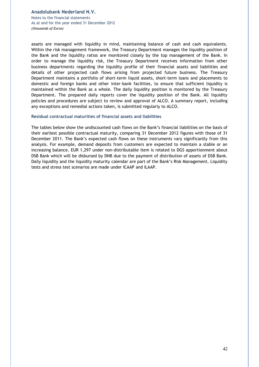Notes to the financial statements As at and for the year ended 31 December 2012 *(thousands of Euros)*

assets are managed with liquidity in mind, maintaining balance of cash and cash equivalents. Within the risk management framework, the Treasury Department manages the liquidity position of the Bank and the liquidity ratios are monitored closely by the top management of the Bank. In order to manage the liquidity risk, the Treasury Department receives information from other business departments regarding the liquidity profile of their financial assets and liabilities and details of other projected cash flows arising from projected future business. The Treasury Department maintains a portfolio of short-term liquid assets, short-term loans and placements to domestic and foreign banks and other inter-bank facilities, to ensure that sufficient liquidity is maintained within the Bank as a whole. The daily liquidity position is monitored by the Treasury Department. The prepared daily reports cover the liquidity position of the Bank. All liquidity policies and procedures are subject to review and approval of ALCO. A summary report, including any exceptions and remedial actions taken, is submitted regularly to ALCO.

#### **Residual contractual maturities of financial assets and liabilities**

The tables below show the undiscounted cash flows on the Bank's financial liabilities on the basis of their earliest possible contractual maturity, comparing 31 December 2012 figures with those of 31 December 2011. The Bank's expected cash flows on these instruments vary significantly from this analysis. For example, demand deposits from customers are expected to maintain a stable or an increasing balance. EUR 1,297 under non-distributable item is related to DGS apportionment about DSB Bank which will be disbursed by DNB due to the payment of distribution of assets of DSB Bank. Daily liquidity and the liquidity maturity calendar are part of the Bank's Risk Management. Liquidity tests and stress test scenarios are made under ICAAP and ILAAP.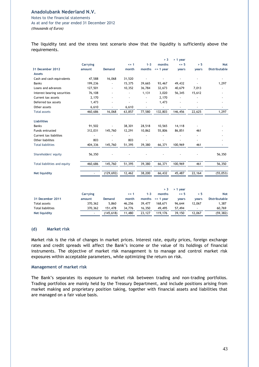Notes to the financial statements As at and for the year ended 31 December 2012 *(thousands of Euros)*

The liquidity test and the stress test scenario show that the liquidity is sufficiently above the requirements.

|                              |                 |               |                |         | > 3           | > 1 year |        |                      |
|------------------------------|-----------------|---------------|----------------|---------|---------------|----------|--------|----------------------|
|                              | <b>Carrying</b> |               | $\leq$ = 1     | $1 - 3$ | months        | $\leq$ 5 | > 5    | <b>Not</b>           |
| 31 December 2012             | amount          | <b>Demand</b> | month          | months  | $\leq$ 1 year | years    | years  | <b>Distributable</b> |
| <b>Assets</b>                |                 |               |                |         |               |          |        |                      |
| Cash and cash equivalents    | 47,588          | 16,068        | 31,520         |         |               |          |        |                      |
| <b>Banks</b>                 | 199,236         |               | 15,375         | 39,665  | 93,467        | 49,432   |        | 1,297                |
| Loans and advances           | 127,501         |               | 10,352         | 36,784  | 32,673        | 40,679   | 7,013  |                      |
| Interest bearing securities  | 76,108          |               |                | 1,131   | 3,020         | 56,345   | 15,612 |                      |
| Current tax assets           | 2,170           |               |                |         | 2,170         |          |        |                      |
| Deferred tax assets          | 1,473           |               | $\overline{a}$ |         | 1,473         |          |        |                      |
| Other assets                 | 6,610           |               | 6,610          |         |               |          |        |                      |
| <b>Total assets</b>          | 460,686         | 16,068        | 63,857         | 77,580  | 132,803       | 146,456  | 22,625 | 1,297                |
| <b>Liabilities</b>           |                 |               |                |         |               |          |        |                      |
| <b>Banks</b>                 | 91,502          |               | 38,301         | 28,518  | 10,565        | 14,118   |        |                      |
| Funds entrusted              | 312,031         | 145,760       | 12,291         | 10,862  | 55,806        | 86,851   | 461    |                      |
| Current tax liabilites       |                 |               |                |         |               |          |        |                      |
| Other liabilites             | 803             |               | 803            |         |               |          |        |                      |
| <b>Total liabilities</b>     | 404,336         | 145,760       | 51,395         | 39,380  | 66,371        | 100,969  | 461    |                      |
| Shareholders' equity         | 56,350          |               |                |         |               |          |        | 56,350               |
| Total liabilities and equity | 460,686         | 145,760       | 51,395         | 39,380  | 66,371        | 100,969  | 461    | 56,350               |
| <b>Net liquidity</b>         |                 | (129, 692)    | 12,462         | 38,200  | 66,432        | 45,487   | 22,164 | (55,053)             |
|                              |                 |               |                |         |               |          |        |                      |
|                              |                 |               |                |         | > 3           | > 1 year |        |                      |
|                              | <b>Carrying</b> |               | $\leq$ = 1     | $1 - 3$ | months        | $\leq$ 5 | > 5    | <b>Not</b>           |
| 31 December 2011             | amount          | Demand        | month          | months  | $<$ = 1 year  | years    | years  | <b>Distributable</b> |
| <b>Total assets</b>          | 370,362         | 5,860         | 46,256         | 39,477  | 168,671       | 96,644   | 12,067 | 1,387                |
| <b>Total liabilities</b>     | 370,362         | 151,478       | 34,776         | 16,350  | 49,495        | 57,494   |        | 60,769               |
| <b>Net liquidity</b>         |                 | (145, 618)    | 11,480         | 23,127  | 119,176       | 39,150   | 12,067 | (59, 382)            |

#### **(d) Market risk**

Market risk is the risk of changes in market prices. Interest rate, equity prices, foreign exchange rates and credit spreads will affect the Bank's income or the value of its holdings of financial instruments. The objective of market risk management is to manage and control market risk exposures within acceptable parameters, while optimizing the return on risk.

#### **Management of market risk**

The Bank's separates its exposure to market risk between trading and non-trading portfolios. Trading portfolios are mainly held by the Treasury Department, and include positions arising from market making and proprietary position taking, together with financial assets and liabilities that are managed on a fair value basis.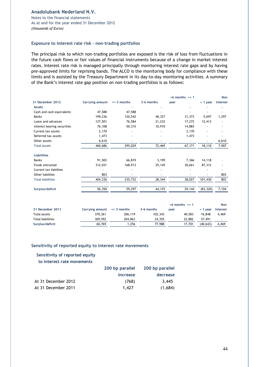Notes to the financial statements As at and for the year ended 31 December 2012 *(thousands of Euros)*

#### **Exposure to interest rate risk – non-trading portfolios**

The principal risk to which non-trading portfolios are exposed is the risk of loss from fluctuations in the future cash flows or fair values of financial instruments because of a change in market interest rates. Interest rate risk is managed principally through monitoring interest rate gaps and by having pre-approved limits for reprising bands. The ALCO is the monitoring body for compliance with these limits and is assisted by the Treasury Department in its day-to-day monitoring activities. A summary of the Bank's interest rate gap position on non-trading portfolios is as follows:

|                             |                 |                 |            | $>6$ months $\leq 1$     |           | <b>Non</b>               |
|-----------------------------|-----------------|-----------------|------------|--------------------------|-----------|--------------------------|
| 31 December 2012            | Carrying amount | $\leq$ 3 months | 3-6 months | year                     | > 1 year  | interest                 |
| Assets                      |                 |                 |            |                          |           |                          |
| Cash and cash equivalents   | 47,588          | 47,588          |            |                          |           |                          |
| <b>Banks</b>                | 199,236         | 120,542         | 40,327     | 31,373                   | 5,697     | 1,297                    |
| Loans and advances          | 127,501         | 76,584          | 21,232     | 17,272                   | 12,413    |                          |
| Interest bearing securities | 76,108          | 50,315          | 10,910     | 14,883                   |           |                          |
| Current tax assets          | 2,170           |                 |            | 2,170                    |           |                          |
| Deferred tax assets         | 1,473           |                 |            | 1,473                    |           |                          |
| Other assets                | 6,610           |                 |            | $\overline{\phantom{a}}$ |           | 6,610                    |
| <b>Total assets</b>         | 460,686         | 295,029         | 72,469     | 67,171                   | 18,110    | 7,907                    |
| <b>Liabilities</b>          |                 |                 |            |                          |           |                          |
| <b>Banks</b>                | 91,502          | 66,819          | 3,199      | 7,366                    | 14,118    |                          |
| Funds entrusted             | 312,031         | 168,913         | 25,145     | 30,661                   | 87,312    |                          |
| Current tax liabilites      |                 |                 |            |                          |           | $\overline{\phantom{a}}$ |
| Other liabilites            | 803             |                 |            |                          |           | 803                      |
| <b>Total liabilities</b>    | 404,336         | 235,732         | 28,344     | 38,027                   | 101,430   | 803                      |
| Surplus/deficit             | 56,350          | 59,297          | 44,125     | 29,144                   | (83, 320) | 7,104                    |
|                             |                 |                 |            |                          |           |                          |

|                          |                                   |         |            | $>6$ months $\leq 1$ |          | <b>Non</b>               |
|--------------------------|-----------------------------------|---------|------------|----------------------|----------|--------------------------|
| 31 December 2011         | Carrying amount $\leq$ = 3 months |         | 3-6 months | vear                 | > 1 year | interest                 |
| Total assets             | 370,361                           | 206,119 | 102.343    | 40.583               | 16.848   | 4.469                    |
| <b>Total liabilities</b> | 309.592                           | 204,863 | 24,355     | 22,882               | 57.491   | $\overline{\phantom{a}}$ |
| Surplus/deficit          | 60.769                            | 1.256   | 77.988     | 17.701               | (40.643) | 4.469                    |

#### **Sensitivity of reported equity to interest rate movements**

#### **Sensitivity of reported equity**

**to interest rate movements** 

|                     | 200 bp parallel | 200 bp parallel |
|---------------------|-----------------|-----------------|
|                     | increase        | decrease        |
| At 31 December 2012 | (768)           | 3.445           |
| At 31 December 2011 | 1.427           | (1.684)         |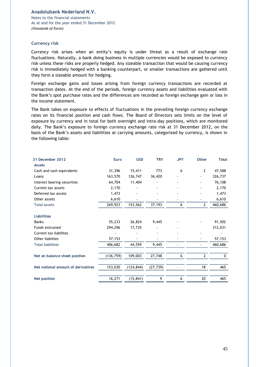Notes to the financial statements As at and for the year ended 31 December 2012 *(thousands of Euros)*

#### **Currency risk**

Currency risk arises when an entity's equity is under threat as a result of exchange rate fluctuations. Naturally, a bank doing business in multiple currencies would be exposed to currency risk unless these risks are properly hedged. Any sizeable transaction that would be causing currency risk is immediately hedged with a banking counterpart, or smaller transactions are gathered until they form a sizeable amount for hedging.

Foreign exchange gains and losses arising from foreign currency transactions are recorded at transaction dates. At the end of the periods, foreign currency assets and liabilities evaluated with the Bank's spot purchase rates and the differences are recorded as foreign exchange gain or loss in the income statement.

The Bank takes on exposure to effects of fluctuations in the prevailing foreign currency exchange rates on its financial position and cash flows. The Board of Directors sets limits on the level of exposure by currency and in total for both overnight and intra-day positions, which are monitored daily. The Bank's exposure to foreign currency exchange rate risk at 31 December 2012, on the basis of the Bank's assets and liabilities at carrying amounts, categorized by currency, is shown in the following table:

| <b>Euro</b> | <b>USD</b> | <b>TRY</b> | <b>JPY</b> | <b>Other</b>   | <b>Total</b> |
|-------------|------------|------------|------------|----------------|--------------|
|             |            |            |            |                |              |
| 31,396      | 15,411     | 773        | 6          | $\overline{2}$ | 47,588       |
| 163,570     | 126,747    | 36,420     |            |                | 326,737      |
| 64,704      | 11,404     |            |            |                | 76,108       |
| 2,170       |            |            |            |                | 2,170        |
| 1,473       |            |            |            |                | 1,473        |
| 6,610       |            |            |            |                | 6,610        |
| 269,923     | 153,562    | 37,193     | 6          | $\overline{2}$ | 460,686      |
|             |            |            |            |                |              |
| 55,233      | 26,824     | 9,445      |            |                | 91,502       |
| 294,296     | 17,735     |            |            |                | 312,031      |
|             |            |            |            |                |              |
| 57,153      |            |            |            |                | 57,153       |
| 406,682     | 44,559     | 9,445      |            |                | 460,686      |
| (136, 759)  | 109,003    | 27,748     | 6          | $\overline{2}$ | $\mathbf{0}$ |
| 153,030     | (124, 844) | (27, 739)  |            | 18             | 465          |
| 16,271      | (15, 841)  | 9          | 6          | 20             | 465          |
|             |            |            |            |                |              |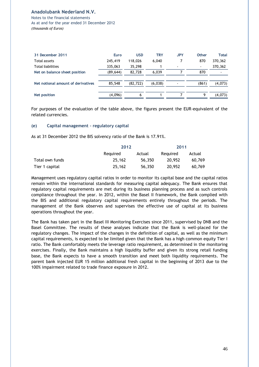Notes to the financial statements As at and for the year ended 31 December 2012 *(thousands of Euros)*

| 31 December 2011                   | Euro      | <b>USD</b> | <b>TRY</b> | <b>JPY</b>               | <b>Other</b> | <b>Total</b> |
|------------------------------------|-----------|------------|------------|--------------------------|--------------|--------------|
| Total assets                       | 245,419   | 118,026    | 6,040      |                          | 870          | 370,362      |
| Total liabilities                  | 335,063   | 35,298     |            | $\overline{\phantom{a}}$ | ۰            | 370,362      |
| Net on balance sheet position      | (89, 644) | 82,728     | 6,039      |                          | 870          |              |
|                                    |           |            |            |                          |              |              |
| Net notional amount of derivatives | 85,548    | (82, 722)  | (6,038)    |                          | (861)        | (4,073)      |
|                                    |           |            |            |                          |              |              |
| Net position                       | (4,096)   | 6          |            |                          | Q            | (4,073)      |

For purposes of the evaluation of the table above, the figures present the EUR-equivalent of the related currencies.

#### **(e) Capital management – regulatory capital**

As at 31 December 2012 the BIS solvency ratio of the Bank is 17.91%.

|                 | 2012     |        |          |        |
|-----------------|----------|--------|----------|--------|
|                 | Reauired | Actual | Reauired | Actual |
| Total own funds | 25.162   | 56,350 | 20.952   | 60.769 |
| Tier 1 capital  | 25,162   | 56,350 | 20,952   | 60.769 |

Management uses regulatory capital ratios in order to monitor its capital base and the capital ratios remain within the international standards for measuring capital adequacy. The Bank ensures that regulatory capital requirements are met during its business planning process and as such controls compliance throughout the year. In 2012, within the Basel II framework, the Bank complied with the BIS and additional regulatory capital requirements entirely throughout the periods. The management of the Bank observes and supervises the effective use of capital at its business operations throughout the year.

The Bank has taken part in the Basel III Monitoring Exercises since 2011, supervised by DNB and the Basel Committee. The results of these analyses indicate that the Bank is well-placed for the regulatory changes. The impact of the changes in the definition of capital, as well as the minimum capital requirements, is expected to be limited given that the Bank has a high common equity Tier I ratio. The Bank comfortably meets the leverage ratio requirement, as determined in the monitoring exercises. Finally, the Bank maintains a high liquidity buffer and given its strong retail funding base, the Bank expects to have a smooth transition and meet both liquidity requirements. The parent bank injected EUR 15 million additional fresh capital in the beginning of 2013 due to the 100% impairment related to trade finance exposure in 2012.